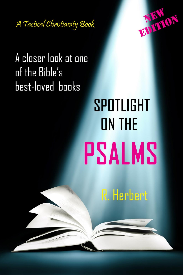



## A closer look at one of the Bible's **best-loved** books

## SPOTLIGHT **ON THE PSALMS**

**R. Herbert**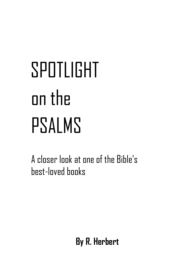# SPOTLIGHT on the PSALMS

 A closer look at one of the Bible's best-loved books

 **By R. Herbert**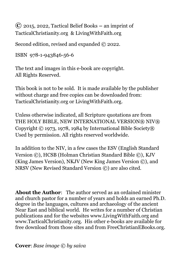**©** 2015, 2022, Tactical Belief Books **–** an imprint of TacticalChristianity.org & LivingWithFaith.org

Second edition, revised and expanded © 2022.

```
ISBN 978-1-943846-56-6
```
The text and images in this e-book are copyright. All Rights Reserved.

This book is not to be sold. It is made available by the publisher without charge and free copies can be downloaded from: TacticalChristianity.org or LivingWithFaith.org.

Unless otherwise indicated, all Scripture quotations are from THE HOLY BIBLE, NEW INTERNATIONAL VERSION® NIV® Copyright © 1973, 1978, 1984 by International Bible Society® Used by permission. All rights reserved worldwide.

In addition to the NIV, in a few cases the ESV (English Standard Version ©), HCSB (Holman Christian Standard Bible ©), KJV (King James Version), NKJV (New King James Version ©), and NRSV (New Revised Standard Version ©) are also cited.

**About the Author**: The author served as an ordained minister and church pastor for a number of years and holds an earned Ph.D. degree in the languages, cultures and archaeology of the ancient Near East and biblical world. He writes for a number of Christian publications and for the websites www.LivingWithFaith.org and www.TacticalChristianity.org. His other e-books are available for free download from those sites and from FreeChristianEBooks.org.

**Cover**: *Base image © by saiva*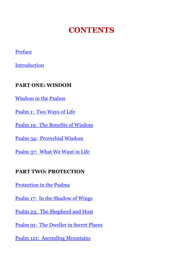## **CONTENTS**

#### [Preface](#page-6-0)

Introduction

#### **PART ONE: WISDOM**

[Wisdom in the Psalms](#page-13-0)

[Psalm 1: Two Ways of Life](#page-14-0)

[Psalm 19: The Benefits of Wisdom](#page-17-0)

[Psalm 34: Proverbial Wisdom](#page-20-0)

[Psalm 37: What We Want in Life](#page-23-0)

#### **PART TWO: PROTECTION**

[Protection in the Psalms](#page-25-0)

[Psalm 17: In the Shadow of Wings](#page-27-0)

[Psalm 23: The Shepherd and Host](#page-29-0)

[Psalm 91: The Dweller in Secret Places](#page-31-0)

[Psalm 121: Ascending Mountains](#page-34-0)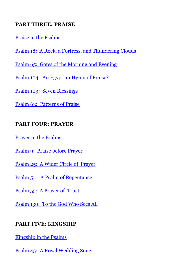#### **PART THREE: PRAISE**

[Praise in the Psalms](#page-37-0)

Psalm 18: A Rock, a [Fortress, and Thundering Clouds](#page-38-0)

[Psalm 65: Gates of the Morning and Evening](#page-40-0)

[Psalm 104: An Egyptian Hymn of Praise?](#page-42-0)

[Psalm 103: Seven Blessings](#page-44-0)

[Psalm 63: Patterns of Praise](#page-46-0)

#### **PART FOUR: PRAYER**

[Prayer in the Psalms](#page-49-0)

[Psalm 9: Praise before Prayer](#page-50-0)

[Psalm 25: A Wider Circle of Prayer](#page-52-0)

[Psalm 51: A Psalm of Repentance](#page-54-0)

[Psalm 55: A Prayer of Trust](#page-57-0)

[Psalm 139: To the God Who Sees All](#page-60-0)

#### **PART FIVE: KINGSHIP**

[Kingship in the Psalms](#page-64-0)

[Psalm 45: A Royal Wedding Song](#page-65-0)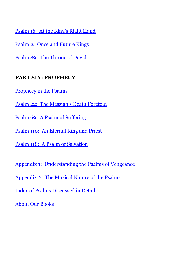[Psalm 16: At the King's Right Hand](#page-67-0)

[Psalm 2: Once and Future Kings](#page-69-0)

[Psalm 89: The Throne of David](#page-71-0)

#### **PART SIX: PROPHECY**

[Prophecy in the Psalms](#page-75-0)

[Psalm 22: The Messiah's Death Foretold](#page-76-0)

[Psalm 69: A Psalm of Suffering](#page-79-0)

[Psalm 110: An Eternal King and Priest](#page-82-0)

[Psalm 118: A Psalm of Salvation](#page-84-0)

[Appendix 1: Understanding the Psalms of Vengeance](#page-86-0)

Appendix [2: The Musical Nature of the](#page-86-0) Psalms

[Index of Psalms Discussed in Detail](#page-93-0)

[About Our Books](#page-94-0)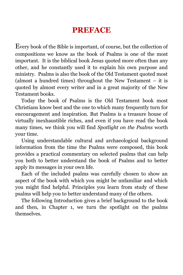## **PREFACE**

<span id="page-6-0"></span>Every book of the Bible is important, of course, but the collection of compositions we know as the book of Psalms is one of the most important. It is the biblical book Jesus quoted more often than any other, and he constantly used it to explain his own purpose and ministry. Psalms is also the book of the Old Testament quoted most (almost a hundred times) throughout the New Testament – it is quoted by almost every writer and in a great majority of the New Testament books.

Today the book of Psalms is the Old Testament book most Christians know best and the one to which many frequently turn for encouragement and inspiration. But Psalms is a treasure house of virtually inexhaustible riches, and even if you have read the book many times, we think you will find *Spotlight on the Psalms* worth your time.

Using understandable cultural and archaeological background information from the time the Psalms were composed, this book provides a practical commentary on selected psalms that can help you both to better understand the book of Psalms and to better apply its messages in your own life.

Each of the included psalms was carefully chosen to show an aspect of the book with which you might be unfamiliar and which you might find helpful. Principles you learn from study of these psalms will help you to better understand many of the others.

The following Introduction gives a brief background to the book and then, in Chapter 1, we turn the spotlight on the psalms themselves.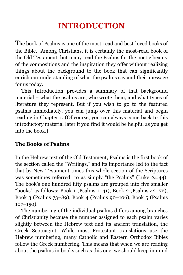## **INTRODUCTION**

The book of Psalms is one of the most-read and best-loved books of the Bible. Among Christians, it is certainly the most-read book of the Old Testament, but many read the Psalms for the poetic beauty of the compositions and the inspiration they offer without realizing things about the background to the book that can significantly enrich our understanding of what the psalms say and their message for us today.

This Introduction provides a summary of that background material – what the psalms are, who wrote them, and what types of literature they represent. But if you wish to go to the featured psalms immediately, you can jump over this material and begin reading in Chapter 1. (Of course, you can always come back to this introductory material later if you find it would be helpful as you get into the book.)

#### **The Books of Psalms**

In the Hebrew text of the Old Testament, Psalms is the first book of the section called the "Writings," and its importance led to the fact that by New Testament times this whole section of the Scriptures was sometimes referred to as simply "the Psalms" (Luke 24:44). The book's one hundred fifty psalms are grouped into five smaller "books" as follows: Book 1 (Psalms  $1-41$ ), Book 2 (Psalms  $42-72$ ), Book 3 (Psalms 73–89), Book 4 (Psalms 90–106), Book 5 (Psalms  $107-150$ ).

The numbering of the individual psalms differs among branches of Christianity because the number assigned to each psalm varies slightly between the Hebrew text and its ancient translation, the Greek Septuagint. While most Protestant translations use the Hebrew numbering, many Catholic and Eastern Orthodox Bibles follow the Greek numbering. This means that when we are reading about the psalms in books such as this one, we should keep in mind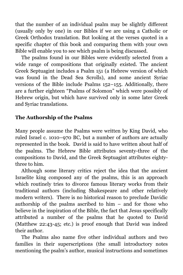that the number of an individual psalm may be slightly different (usually only by one) in our Bibles if we are using a Catholic or Greek Orthodox translation. But looking at the verses quoted in a specific chapter of this book and comparing them with your own Bible will enable you to see which psalm is being discussed.

The psalms found in our Bibles were evidently selected from a wide range of compositions that originally existed. The ancient Greek Septuagint includes a Psalm 151 (a Hebrew version of which was found in the Dead Sea Scrolls), and some ancient Syriac versions of the Bible include Psalms 152–155. Additionally, there are a further eighteen "Psalms of Solomon" which were possibly of Hebrew origin, but which have survived only in some later Greek and Syriac translations.

#### **The Authorship of the Psalms**

Many people assume the Psalms were written by King David, who ruled Israel c. 1010–970 BC, but a number of authors are actually represented in the book. David is said to have written about half of the psalms. The Hebrew Bible attributes seventy-three of the compositions to David, and the Greek Septuagint attributes eightythree to him.

Although some literary critics reject the idea that the ancient Israelite king composed any of the psalms, this is an approach which routinely tries to divorce famous literary works from their traditional authors (including Shakespeare and other relatively modern writers). There is no historical reason to preclude Davidic authorship of the psalms ascribed to him – and for those who believe in the inspiration of the Bible, the fact that Jesus specifically attributed a number of the psalms that he quoted to David (Matthew 22:43-45; etc.) is proof enough that David was indeed their author.

The Psalms also name five other individual authors and two families in their superscriptions (the small introductory notes mentioning the psalm's author, musical instructions and sometimes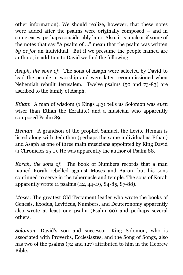other information). We should realize, however, that these notes were added after the psalms were originally composed – and in some cases, perhaps considerably later. Also, it is unclear if some of the notes that say "A psalm of …" mean that the psalm was written *by* or *for* an individual. But if we presume the people named are authors, in addition to David we find the following:

*Asaph, the sons of*: The sons of Asaph were selected by David to lead the people in worship and were later recommissioned when Nehemiah rebuilt Jerusalem. Twelve psalms (50 and 73-83) are ascribed to the family of Asaph.

*Ethan*: A man of wisdom (1 Kings 4:31 tells us Solomon was *even* wiser than Ethan the Ezrahite) and a musician who apparently composed Psalm 89.

*Heman*: A grandson of the prophet Samuel, the Levite Heman is listed along with Jeduthan (perhaps the same individual as Ethan) and Asaph as one of three main musicians appointed by King David (1 Chronicles 25:1). He was apparently the author of Psalm 88.

*Korah, the sons of*: The book of Numbers records that a man named Korah rebelled against Moses and Aaron, but his sons continued to serve in the tabernacle and temple. The sons of Korah apparently wrote 11 psalms (42, 44-49, 84-85, 87-88).

*Moses*: The greatest Old Testament leader who wrote the books of Genesis, Exodus, Leviticus, Numbers, and Deuteronomy apparently also wrote at least one psalm (Psalm 90) and perhaps several others.

*Solomon*: David's son and successor, King Solomon, who is associated with Proverbs, Ecclesiastes, and the Song of Songs, also has two of the psalms (72 and 127) attributed to him in the Hebrew Bible.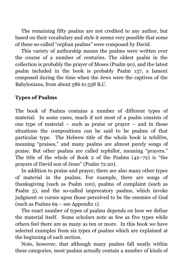The remaining fifty psalms are not credited to any author, but based on their vocabulary and style it seems very possible that some of these so-called "orphan psalms" were composed by David.

This variety of authorship means the psalms were written over the course of a number of centuries. The oldest psalm in the collection is probably the prayer of Moses (Psalm 90), and the latest psalm included in the book is probably Psalm 137, a lament composed during the time when the Jews were the captives of the Babylonians, from about 586 to 538 B.C.

#### **Types of Psalms**

The book of Psalms contains a number of different types of material. In some cases, much if not most of a psalm consists of one type of material – such as praise or prayer – and in those situations the compositions can be said to be psalms of that particular type. The Hebrew title of the whole book is *tehillim*, meaning "praises," and many psalms are almost purely songs of praise. But other psalms are called *tephillot*, meaning "prayers." The title of the whole of Book 2 of the Psalms (42–72) is "the prayers of David son of Jesse" (Psalm 72:20).

In addition to praise and prayer, there are also many other types of material in the psalms. For example, there are songs of thanksgiving (such as Psalm 100), psalms of complaint (such as Psalm 3), and the so-called imprecatory psalms, which invoke judgment or curses upon those perceived to be the enemies of God (such as Psalms 69 – see Appendix 1).

The exact number of types of psalms depends on how we define the material itself. Some scholars note as few as five types while others feel there are as many as ten or more. In this book we have selected examples from six types of psalms which are explained at the beginning of each section.

Note, however, that although many psalms fall neatly within these categories, most psalms actually contain a number of kinds of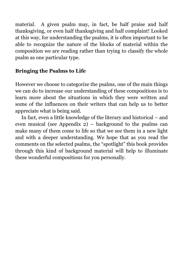material. A given psalm may, in fact, be half praise and half thanksgiving, or even half thanksgiving and half complaint! Looked at this way, for understanding the psalms, it is often important to be able to recognize the nature of the blocks of material within the composition we are reading rather than trying to classify the whole psalm as one particular type.

#### **Bringing the Psalms to Life**

However we choose to categorize the psalms, one of the main things we can do to increase our understanding of these compositions is to learn more about the situations in which they were written and some of the influences on their writers that can help us to better appreciate what is being said.

In fact, even a little knowledge of the literary and historical – and even musical (see Appendix 2) – background to the psalms can make many of them come to life so that we see them in a new light and with a deeper understanding. We hope that as you read the comments on the selected psalms, the "spotlight" this book provides through this kind of background material will help to illuminate these wonderful compositions for you personally.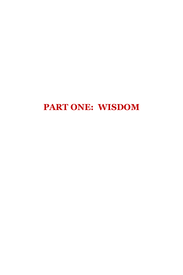## **PART ONE: WISDOM**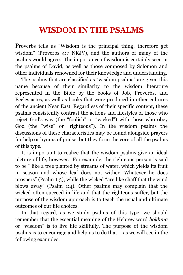## **WISDOM IN THE PSALMS**

<span id="page-13-0"></span>Proverbs tells us "Wisdom is the principal thing; therefore get wisdom" (Proverbs 4:7 NKJV), and the authors of many of the psalms would agree. The importance of wisdom is certainly seen in the psalms of David, as well as those composed by Solomon and other individuals renowned for their knowledge and understanding.

The psalms that are classified as "wisdom psalms" are given this name because of their similarity to the wisdom literature represented in the Bible by the books of Job, Proverbs, and Ecclesiastes, as well as books that were produced in other cultures of the ancient Near East. Regardless of their specific content, these psalms consistently contrast the actions and lifestyles of those who reject God's way (the "foolish" or "wicked") with those who obey God (the "wise" or "righteous"). In the wisdom psalms the discussions of these characteristics may be found alongside prayers for help or hymns of praise, but they form the core of all the psalms of this type.

It is important to realize that the wisdom psalms give an ideal picture of life, however. For example, the righteous person is said to be " like a tree planted by streams of water, which yields its fruit in season and whose leaf does not wither. Whatever he does prospers" (Psalm 1:3), while the wicked "are like chaff that the wind blows away" (Psalm 1:4). Other psalms may complain that the wicked often succeed in life and that the righteous suffer, but the purpose of the wisdom approach is to teach the usual and ultimate outcomes of our life choices.

In that regard, as we study psalms of this type, we should remember that the essential meaning of the Hebrew word *hokhma* or "wisdom" is to live life skillfully. The purpose of the wisdom psalms is to encourage and help us to do that – as we will see in the following examples.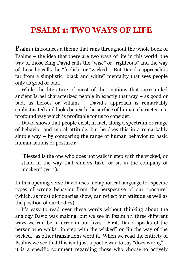### <span id="page-14-0"></span>**PSALM 1: TWO WAYS OF LIFE**

Psalm 1 introduces a theme that runs throughout the whole book of Psalms – the idea that there are two ways of life in this world: the way of those King David calls the "wise" or "righteous" and the way of those he calls the "foolish" or "wicked." But David's approach is far from a simplistic "black and white" mentality that sees people only as good or bad.

While the literature of most of the nations that surrounded ancient Israel characterized people in exactly that way – as good or bad, as heroes or villains – David's approach is remarkably sophisticated and looks beneath the surface of human character in a profound way which is profitable for us to consider.

David shows that people exist, in fact, along a spectrum or range of behavior and moral attitude, but he does this in a remarkably simple way – by comparing the range of human behavior to basic human actions or postures:

"Blessed is the one who does not walk in step with the wicked, or stand in the way that sinners take, or sit in the company of mockers" (vs. 1).

In this opening verse David uses metaphorical language for specific types of wrong behavior from the perspective of our "posture" (which, as most dictionaries show, can reflect our attitude as well as the position of our bodies).

It's easy to read over these words without thinking about the analogy David was making, but we see in Psalm 1:1 three different ways we can be in error in our lives. First, David speaks of the person who walks "in step with the wicked" or "in the way of the wicked," as other translations word it. When we read the entirety of Psalms we see that this isn't just a poetic way to say "does wrong" – it is a specific comment regarding those who choose to actively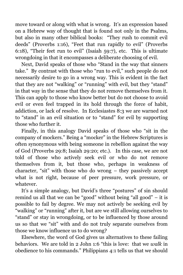move toward or along with what is wrong. It's an expression based on a Hebrew way of thought that is found not only in the Psalms, but also in many other biblical books: "They rush to commit evil deeds" (Proverbs 1:16), "Feet that run rapidly to evil" (Proverbs 6:18), "Their feet run to evil" (Isaiah 59:7), etc. This is ultimate wrongdoing in that it encompasses a deliberate choosing of evil.

Next, David speaks of those who "Stand in the way that sinners take." By contrast with those who "run to evil," such people do not necessarily desire to go in a wrong way. This is evident in the fact that they are not "walking" or "running" with evil, but they "stand" in that way in the sense that they do not remove themselves from it. This can apply to those who know better but do not choose to avoid evil or even feel trapped in its hold through the force of habit, addiction, or lack of resolve. In Ecclesiastes 8:3 we are warned not to "stand" in an evil situation or to "stand" for evil by supporting those who further it.

Finally, in this analogy David speaks of those who "sit in the company of mockers." Being a "mocker" in the Hebrew Scriptures is often synonymous with being someone in rebellion against the way of God (Proverbs 29:8; Isaiah 29:20; etc.). In this case, we are not told of those who actively seek evil or who do not remove themselves from it, but those who, perhaps in weakness of character, "sit" with those who do wrong – they passively accept what is not right, because of peer pressure, work pressure, or whatever.

It's a simple analogy, but David's three "postures" of sin should remind us all that we can be "good" without being "all good" – it is possible to fail by degree. We may not actively be seeking evil by "walking" or "running" after it, but are we still allowing ourselves to "stand" or stay in wrongdoing, or to be influenced by those around us so that we "sit" with and do not truly separate ourselves from those we know influence us to do wrong?

Elsewhere, the word of God gives us alternatives to these failing behaviors. We are told in 2 John 1:6 "this is love: that we *walk* in obedience to his commands." Philippians 4:1 tells us that we should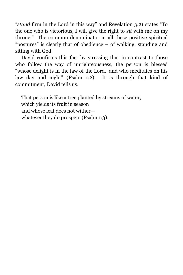"*stand* firm in the Lord in this way" and Revelation 3:21 states "To the one who is victorious, I will give the right to *sit* with me on my throne." The common denominator in all these positive spiritual "postures" is clearly that of obedience – of walking, standing and sitting with God.

David confirms this fact by stressing that in contrast to those who follow the way of unrighteousness, the person is blessed "whose delight is in the law of the Lord, and who meditates on his law day and night" (Psalm 1:2). It is through that kind of commitment, David tells us:

That person is like a tree planted by streams of water, which yields its fruit in season and whose leaf does not wither whatever they do prospers (Psalm 1:3).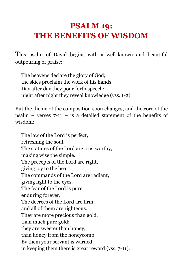## <span id="page-17-0"></span>**PSALM 19: THE BENEFITS OF WISDOM**

This psalm of David begins with a well-known and beautiful outpouring of praise:

The heavens declare the glory of God; the skies proclaim the work of his hands. Day after day they pour forth speech; night after night they reveal knowledge (vss. 1-2).

But the theme of the composition soon changes, and the core of the psalm – verses  $7-11$  – is a detailed statement of the benefits of wisdom:

The law of the Lord is perfect, refreshing the soul. The statutes of the Lord are trustworthy, making wise the simple. The precepts of the Lord are right, giving joy to the heart. The commands of the Lord are radiant, giving light to the eyes. The fear of the Lord is pure, enduring forever. The decrees of the Lord are firm, and all of them are righteous. They are more precious than gold, than much pure gold; they are sweeter than honey, than honey from the honeycomb. By them your servant is warned; in keeping them there is great reward (vss. 7-11).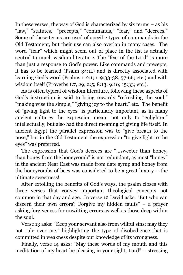In these verses, the way of God is characterized by six terms – as his "law," "statutes," "precepts," "commands," "fear," and "decrees." Some of these terms are used of specific types of commands in the Old Testament, but their use can also overlap in many cases. The word "fear" which might seem out of place in the list is actually central to much wisdom literature. The "fear of the Lord" is more than just a response to God's power. Like commands and precepts, it has to be learned (Psalm 34:11) and is directly associated with learning God's word (Psalms 112:1; 119:33-38, 57-66; etc.) and with wisdom itself (Proverbs 1:7, 29; 2:5; 8:13; 9:10; 15:33; etc.).

As is often typical of wisdom literature, following these aspects of God's instruction is said to bring rewards "refreshing the soul," "making wise the simple," "giving joy to the heart," etc. The benefit of "giving light to the eyes" is particularly important, as in many ancient cultures the expression meant not only to "enlighten" intellectually, but also had the direct meaning of giving life itself. In ancient Egypt the parallel expression was to "give breath to the nose," but in the Old Testament the expression "to give light to the eyes" was preferred.

The expression that God's decrees are "…sweeter than honey, than honey from the honeycomb" is not redundant, as most "honey" in the ancient Near East was made from date syrup and honey from the honeycombs of bees was considered to be a great luxury – the ultimate sweetness!

After extolling the benefits of God's ways, the psalm closes with three verses that convey important theological concepts not common in that day and age. In verse 12 David asks: "But who can discern their own errors? Forgive my hidden faults" – a prayer asking forgiveness for unwitting errors as well as those deep within the soul.

Verse 13 asks: "Keep your servant also from willful sins; may they not rule over me," highlighting the type of disobedience that is committed in weakness despite our knowledge of its wrongness.

Finally, verse 14 asks: "May these words of my mouth and this meditation of my heart be pleasing in your sight, Lord" – stressing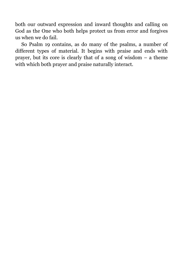both our outward expression and inward thoughts and calling on God as the One who both helps protect us from error and forgives us when we do fail.

So Psalm 19 contains, as do many of the psalms, a number of different types of material. It begins with praise and ends with prayer, but its core is clearly that of a song of wisdom – a theme with which both prayer and praise naturally interact.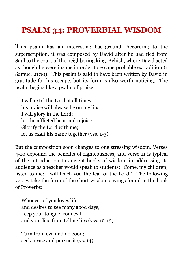## <span id="page-20-0"></span>**PSALM 34: PROVERBIAL WISDOM**

This psalm has an interesting background. According to the superscription, it was composed by David after he had fled from Saul to the court of the neighboring king, Achish, where David acted as though he were insane in order to escape probable extradition (1 Samuel 21:10). This psalm is said to have been written by David in gratitude for his escape, but its form is also worth noticing. The psalm begins like a psalm of praise:

I will extol the Lord at all times; his praise will always be on my lips. I will glory in the Lord; let the afflicted hear and rejoice. Glorify the Lord with me; let us exalt his name together (vss. 1-3).

But the composition soon changes to one stressing wisdom. Verses 4-10 expound the benefits of righteousness, and verse 11 is typical of the introduction to ancient books of wisdom in addressing its audience as a teacher would speak to students: "Come, my children, listen to me; I will teach you the fear of the Lord." The following verses take the form of the short wisdom sayings found in the book of Proverbs:

Whoever of you loves life and desires to see many good days, keep your tongue from evil and your lips from telling lies (vss. 12-13).

Turn from evil and do good; seek peace and pursue it (vs. 14).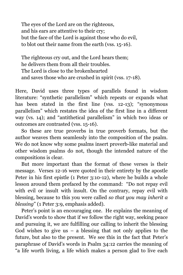The eyes of the Lord are on the righteous, and his ears are attentive to their cry; but the face of the Lord is against those who do evil, to blot out their name from the earth (vss. 15-16).

The righteous cry out, and the Lord hears them; he delivers them from all their troubles. The Lord is close to the brokenhearted and saves those who are crushed in spirit (vss. 17-18).

Here, David uses three types of parallels found in wisdom literature: "synthetic parallelism" which repeats or expands what has been stated in the first line (vss. 12-13); "synonymous parallelism" which restates the idea of the first line in a different way (vs. 14); and "antithetical parallelism" in which two ideas or outcomes are contrasted (vss. 15-16).

So these are true proverbs in true proverb formats, but the author weaves them seamlessly into the composition of the psalm. We do not know why some psalms insert proverb-like material and other wisdom psalms do not, though the intended nature of the compositions is clear.

But more important than the format of these verses is their message. Verses 12-16 were quoted in their entirety by the apostle Peter in his first epistle (1 Peter 3:10-12), where he builds a whole lesson around them prefaced by the command: "Do not repay evil with evil or insult with insult. On the contrary, repay evil with blessing, because to this you were called *so that you may inherit a blessing*" (1 Peter 3:9, emphasis added).

Peter's point is an encouraging one. He explains the meaning of David's words to show that if we follow the right way, seeking peace and pursuing it, we are fulfilling our calling to inherit the blessing God wishes to give us  $-$  a blessing that not only applies to the future, but also to the present. We see this in the fact that Peter's paraphrase of David's words in Psalm 34:12 carries the meaning of "a life worth living, a life which makes a person glad to live each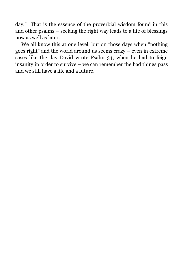day." That is the essence of the proverbial wisdom found in this and other psalms – seeking the right way leads to a life of blessings now as well as later.

We all know this at one level, but on those days when "nothing goes right" and the world around us seems crazy – even in extreme cases like the day David wrote Psalm 34, when he had to feign insanity in order to survive – we can remember the bad things pass and we still have a life and a future.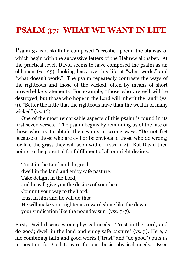### <span id="page-23-0"></span>**PSALM 37: WHAT WE WANT IN LIFE**

Psalm 37 is a skillfully composed "acrostic" poem, the stanzas of which begin with the successive letters of the Hebrew alphabet. At the practical level, David seems to have composed the psalm as an old man (vs. 25), looking back over his life at "what works" and "what doesn't work." The psalm repeatedly contrasts the ways of the righteous and those of the wicked, often by means of short proverb-like statements. For example, "those who are evil will be destroyed, but those who hope in the Lord will inherit the land" (vs. 9), "Better the little that the righteous have than the wealth of many wicked" (vs. 16).

One of the most remarkable aspects of this psalm is found in its first seven verses. The psalm begins by reminding us of the fate of those who try to obtain their wants in wrong ways: "Do not fret because of those who are evil or be envious of those who do wrong; for like the grass they will soon wither" (vss. 1-2). But David then points to the potential for fulfillment of all our right desires:

Trust in the Lord and do good; dwell in the land and enjoy safe pasture. Take delight in the Lord, and he will give you the desires of your heart. Commit your way to the Lord; trust in him and he will do this: He will make your righteous reward shine like the dawn, your vindication like the noonday sun (vss. 3-7).

First, David discusses our physical needs: "Trust in the Lord, and do good; dwell in the land and enjoy safe pasture" (vs. 3). Here, a life combining faith and good works ("trust" and "do good") puts us in position for God to care for our basic physical needs. Even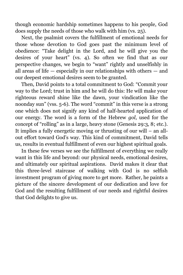though economic hardship sometimes happens to his people, God does supply the needs of those who walk with him (vs. 25).

Next, the psalmist covers the fulfillment of emotional needs for those whose devotion to God goes past the minimum level of obedience: "Take delight in the Lord, and he will give you the desires of your heart" (vs. 4). So often we find that as our perspective changes, we begin to "want" rightly and unselfishly in all areas of life — especially in our relationships with others — and our deepest emotional desires seem to be granted.

Then, David points to a total commitment to God: "Commit your way to the Lord; trust in him and he will do this: He will make your righteous reward shine like the dawn, your vindication like the noonday sun" (vss. 5-6). The word "commit" in this verse is a strong one which does not signify any kind of half-hearted application of our energy. The word is a form of the Hebrew *gol*, used for the concept of "rolling" as in a large, heavy stone (Genesis 29:3, 8; etc.). It implies a fully energetic moving or thrusting of our will – an allout effort toward God's way. This kind of commitment, David tells us, results in eventual fulfillment of even our highest spiritual goals.

In these few verses we see the fulfillment of everything we really want in this life and beyond: our physical needs, emotional desires, and ultimately our spiritual aspirations. David makes it clear that this three-level staircase of walking with God is no selfish investment program of giving more to get more. Rather, he paints a picture of the sincere development of our dedication and love for God and the resulting fulfillment of our needs and rightful desires that God delights to give us.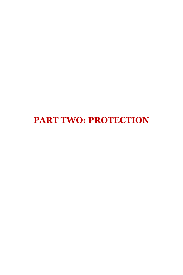<span id="page-25-0"></span>**PART TWO: PROTECTION**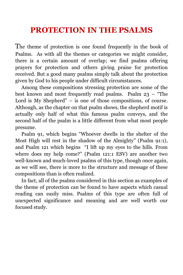## **PROTECTION IN THE PSALMS**

The theme of protection is one found frequently in the book of Psalms. As with all the themes or categories we might consider, there is a certain amount of overlap; we find psalms offering prayers for protection and others giving praise for protection received. But a good many psalms simply talk about the protection given by God to his people under difficult circumstances.

Among these compositions stressing protection are some of the best known and most frequently read psalms. Psalm  $23$  – "The Lord is My Shepherd" – is one of those compositions, of course. Although, as the chapter on that psalm shows, the shepherd motif is actually only half of what this famous psalm conveys, and the second half of the psalm is a little different from what most people presume.

Psalm 91, which begins "Whoever dwells in the shelter of the Most High will rest in the shadow of the Almighty" (Psalm 91:1), and Psalm 121 which begins "I lift up my eyes to the hills. From where does my help come?" (Psalm 121:1 ESV) are another two well-known and much-loved psalms of this type, though once again, as we will see, there is more to the structure and message of these compositions than is often realized.

In fact, all of the psalms considered in this section as examples of the theme of protection can be found to have aspects which casual reading can easily miss. Psalms of this type are often full of unexpected significance and meaning and are well worth our focused study.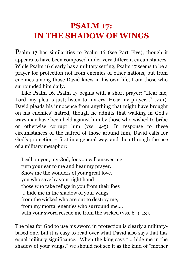## <span id="page-27-0"></span>**PSALM 17: IN THE SHADOW OF WINGS**

Psalm 17 has similarities to Psalm 16 (see Part Five), though it appears to have been composed under very different circumstances. While Psalm 16 clearly has a military setting, Psalm 17 seems to be a prayer for protection not from enemies of other nations, but from enemies among those David knew in his own life, from those who surrounded him daily.

Like Psalm 16, Psalm 17 begins with a short prayer: "Hear me, Lord, my plea is just; listen to my cry. Hear my prayer..." (vs.1). David pleads his innocence from anything that might have brought on his enemies' hatred, though he admits that walking in God's ways may have been held against him by those who wished to bribe or otherwise corrupt him (vss. 4-5). In response to these circumstances of the hatred of those around him, David calls for God's protection – first in a general way, and then through the use of a military metaphor:

I call on you, my God, for you will answer me; turn your ear to me and hear my prayer. Show me the wonders of your great love, you who save by your right hand those who take refuge in you from their foes … hide me in the shadow of your wings from the wicked who are out to destroy me, from my mortal enemies who surround me…. with your sword rescue me from the wicked (vss. 6-9, 13).

The plea for God to use his sword in protection is clearly a militarybased one, but it is easy to read over what David also says that has equal military significance. When the king says "… hide me in the shadow of your wings," we should not see it as the kind of "mother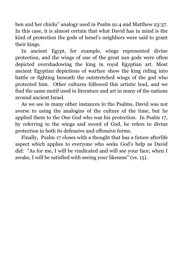hen and her chicks" analogy used in Psalm 91:4 and Matthew 23:37. In this case, it is almost certain that what David has in mind is the kind of protection the gods of Israel's neighbors were said to grant their kings.

In ancient Egypt, for example, wings represented divine protection, and the wings of one of the great sun gods were often depicted overshadowing the king in royal Egyptian art. Most ancient Egyptian depictions of warfare show the king riding into battle or fighting beneath the outstretched wings of the god who protected him. Other cultures followed this artistic lead, and we find the same motif used in literature and art in many of the nations around ancient Israel.

As we see in many other instances in the Psalms, David was not averse to using the analogies of the culture of the time, but he applied them to the One God who was his protection. In Psalm 17, by referring to the wings and sword of God, he refers to divine protection in both its defensive and offensive forms.

Finally, Psalm 17 closes with a thought that has a future afterlife aspect which applies to everyone who seeks God's help as David did: "As for me, I will be vindicated and will see your face; when I awake, I will be satisfied with seeing your likeness" (vs. 15).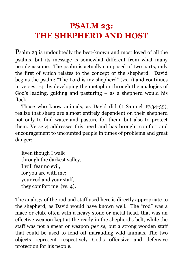## <span id="page-29-0"></span>**PSALM 23: THE SHEPHERD AND HOST**

Psalm 23 is undoubtedly the best-known and most loved of all the psalms, but its message is somewhat different from what many people assume. The psalm is actually composed of two parts, only the first of which relates to the concept of the shepherd. David begins the psalm: "The Lord is my shepherd" (vs. 1) and continues in verses 1-4 by developing the metaphor through the analogies of God's leading, guiding and pasturing – as a shepherd would his flock.

Those who know animals, as David did (1 Samuel 17:34-35), realize that sheep are almost entirely dependent on their shepherd not only to find water and pasture for them, but also to protect them. Verse 4 addresses this need and has brought comfort and encouragement to uncounted people in times of problems and great danger:

Even though I walk through the darkest valley, I will fear no evil, for you are with me; your rod and your staff, they comfort me (vs. 4).

The analogy of the rod and staff used here is directly appropriate to the shepherd, as David would have known well. The "rod" was a mace or club, often with a heavy stone or metal head, that was an effective weapon kept at the ready in the shepherd's belt, while the staff was not a spear or weapon *per se*, but a strong wooden staff that could be used to fend off marauding wild animals. The two objects represent respectively God's offensive and defensive protection for his people.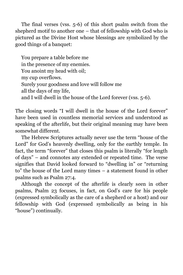The final verses (vss. 5-6) of this short psalm switch from the shepherd motif to another one – that of fellowship with God who is pictured as the Divine Host whose blessings are symbolized by the good things of a banquet:

You prepare a table before me in the presence of my enemies. You anoint my head with oil; my cup overflows. Surely your goodness and love will follow me all the days of my life, and I will dwell in the house of the Lord forever (vss. 5-6).

The closing words "I will dwell in the house of the Lord forever" have been used in countless memorial services and understood as speaking of the afterlife, but their original meaning may have been somewhat different.

The Hebrew Scriptures actually never use the term "house of the Lord" for God's heavenly dwelling, only for the earthly temple. In fact, the term "forever" that closes this psalm is literally "for length of days" – and connotes any extended or repeated time. The verse signifies that David looked forward to "dwelling in" or "returning to" the house of the Lord many times – a statement found in other psalms such as Psalm 27:4.

Although the concept of the afterlife is clearly seen in other psalms, Psalm 23 focuses, in fact, on God's care for his people (expressed symbolically as the care of a shepherd or a host) and our fellowship with God (expressed symbolically as being in his "house") continually.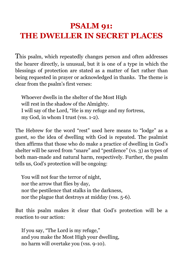## <span id="page-31-0"></span>**PSALM 91: THE DWELLER IN SECRET PLACES**

This psalm, which repeatedly changes person and often addresses the hearer directly, is unusual, but it is one of a type in which the blessings of protection are stated as a matter of fact rather than being requested in prayer or acknowledged in thanks. The theme is clear from the psalm's first verses:

Whoever dwells in the shelter of the Most High will rest in the shadow of the Almighty. I will say of the Lord, "He is my refuge and my fortress, my God, in whom I trust (vss. 1-2).

The Hebrew for the word "rest" used here means to "lodge" as a guest, so the idea of dwelling with God is repeated. The psalmist then affirms that those who do make a practice of dwelling in God's shelter will be saved from "snare" and "pestilence" (vs. 3) as types of both man-made and natural harm, respectively. Further, the psalm tells us, God's protection will be ongoing:

You will not fear the terror of night, nor the arrow that flies by day, nor the pestilence that stalks in the darkness, nor the plague that destroys at midday (vss. 5-6).

But this psalm makes it clear that God's protection will be a reaction to our action:

If you say, "The Lord is my refuge," and you make the Most High your dwelling, no harm will overtake you (vss. 9-10).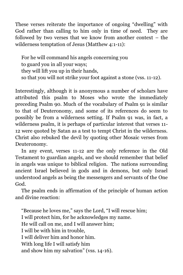These verses reiterate the importance of ongoing "dwelling" with God rather than calling to him only in time of need. They are followed by two verses that we know from another context – the wilderness temptation of Jesus (Matthew 4:1-11):

For he will command his angels concerning you to guard you in all your ways; they will lift you up in their hands, so that you will not strike your foot against a stone (vss. 11-12).

Interestingly, although it is anonymous a number of scholars have attributed this psalm to Moses who wrote the immediately preceding Psalm 90. Much of the vocabulary of Psalm 91 is similar to that of Deuteronomy, and some of its references do seem to possibly be from a wilderness setting. If Psalm 91 was, in fact, a wilderness psalm, it is perhaps of particular interest that verses 11- 12 were quoted by Satan as a test to tempt Christ in the wilderness. Christ also rebuked the devil by quoting other Mosaic verses from Deuteronomy.

In any event, verses 11-12 are the only reference in the Old Testament to guardian angels, and we should remember that belief in angels was unique to biblical religion. The nations surrounding ancient Israel believed in gods and in demons, but only Israel understood angels as being the messengers and servants of the One God.

The psalm ends in affirmation of the principle of human action and divine reaction:

"Because he loves me," says the Lord, "I will rescue him; I will protect him, for he acknowledges my name. He will call on me, and I will answer him; I will be with him in trouble, I will deliver him and honor him. With long life I will satisfy him and show him my salvation" (vss. 14-16).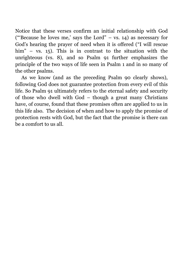Notice that these verses confirm an initial relationship with God ("Because he loves me,' says the Lord" – vs. 14) as necessary for God's hearing the prayer of need when it is offered ("I will rescue him" – vs. 15). This is in contrast to the situation with the unrighteous (vs. 8), and so Psalm 91 further emphasizes the principle of the two ways of life seen in Psalm 1 and in so many of the other psalms.

As we know (and as the preceding Psalm 90 clearly shows), following God does not guarantee protection from every evil of this life. So Psalm 91 ultimately refers to the eternal safety and security of those who dwell with God – though a great many Christians have, of course, found that these promises often are applied to us in this life also. The decision of when and how to apply the promise of protection rests with God, but the fact that the promise is there can be a comfort to us all.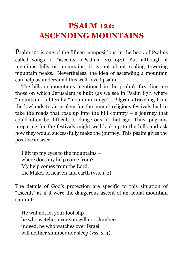## <span id="page-34-0"></span>**PSALM 121: ASCENDING MOUNTAINS**

Psalm 121 is one of the fifteen compositions in the book of Psalms called songs of "ascents" (Psalms 120–134). But although it mentions hills or mountains, it is not about scaling towering mountain peaks. Nevertheless, the idea of ascending a mountain can help us understand this well-loved psalm.

The hills or mountains mentioned in the psalm's first line are those on which Jerusalem is built (as we see in Psalm 87:1 where "mountain" is literally "mountain range"). Pilgrims traveling from the lowlands to Jerusalem for the annual religious festivals had to take the roads that rose up into the hill country  $-$  a journey that could often be difficult or dangerous in that age. Thus, pilgrims preparing for the festivals might well look up to the hills and ask how they would successfully make the journey. This psalm gives the positive answer:

I lift up my eyes to the mountains – where does my help come from? My help comes from the Lord, the Maker of heaven and earth (vss. 1-2).

The details of God's protection are specific to this situation of "ascent," as if it were the dangerous ascent of an actual mountain summit:

He will not let your foot slip – he who watches over you will not slumber; indeed, he who watches over Israel will neither slumber nor sleep (vss. 3-4).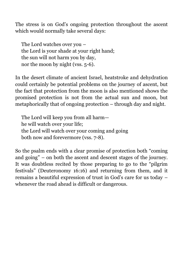The stress is on God's ongoing protection throughout the ascent which would normally take several days:

The Lord watches over you – the Lord is your shade at your right hand; the sun will not harm you by day, nor the moon by night (vss. 5-6).

In the desert climate of ancient Israel, heatstroke and dehydration could certainly be potential problems on the journey of ascent, but the fact that protection from the moon is also mentioned shows the promised protection is not from the actual sun and moon, but metaphorically that of ongoing protection – through day and night.

The Lord will keep you from all harm he will watch over your life; the Lord will watch over your coming and going both now and forevermore (vss. 7-8).

So the psalm ends with a clear promise of protection both "coming and going" – on both the ascent and descent stages of the journey. It was doubtless recited by those preparing to go to the "pilgrim festivals" (Deuteronomy 16:16) and returning from them, and it remains a beautiful expression of trust in God's care for us today – whenever the road ahead is difficult or dangerous.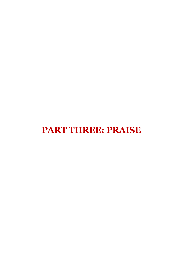# **PART THREE: PRAISE**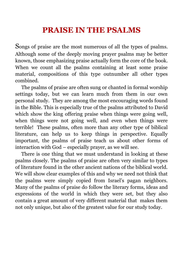#### **PRAISE IN THE PSALMS**

Songs of praise are the most numerous of all the types of psalms. Although some of the deeply moving prayer psalms may be better known, those emphasizing praise actually form the core of the book. When we count all the psalms containing at least some praise material, compositions of this type outnumber all other types combined.

The psalms of praise are often sung or chanted in formal worship settings today, but we can learn much from them in our own personal study. They are among the most encouraging words found in the Bible. This is especially true of the psalms attributed to David which show the king offering praise when things were going well, when things were not going well, and even when things were terrible! These psalms, often more than any other type of biblical literature, can help us to keep things in perspective. Equally important, the psalms of praise teach us about other forms of interaction with God – especially prayer, as we will see.

There is one thing that we must understand in looking at these psalms closely. The psalms of praise are often very similar to types of literature found in the other ancient nations of the biblical world. We will show clear examples of this and why we need not think that the psalms were simply copied from Israel's pagan neighbors. Many of the psalms of praise do follow the literary forms, ideas and expressions of the world in which they were set, but they also contain a great amount of very different material that makes them not only unique, but also of the greatest value for our study today.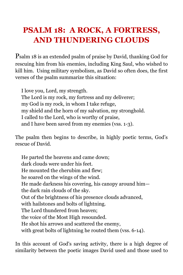# **PSALM 18: A ROCK, A FORTRESS, AND THUNDERING CLOUDS**

Psalm 18 is an extended psalm of praise by David, thanking God for rescuing him from his enemies, including King Saul, who wished to kill him. Using military symbolism, as David so often does, the first verses of the psalm summarize this situation:

I love you, Lord, my strength. The Lord is my rock, my fortress and my deliverer; my God is my rock, in whom I take refuge, my shield and the horn of my salvation, my stronghold. I called to the Lord, who is worthy of praise, and I have been saved from my enemies (vss. 1-3).

The psalm then begins to describe, in highly poetic terms, God's rescue of David.

He parted the heavens and came down; dark clouds were under his feet. He mounted the cherubim and flew; he soared on the wings of the wind. He made darkness his covering, his canopy around him the dark rain clouds of the sky. Out of the brightness of his presence clouds advanced, with hailstones and bolts of lightning. The Lord thundered from heaven; the voice of the Most High resounded. He shot his arrows and scattered the enemy, with great bolts of lightning he routed them (vss. 6-14).

In this account of God's saving activity, there is a high degree of similarity between the poetic images David used and those used to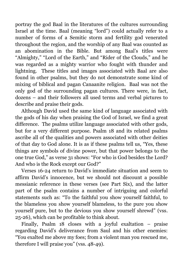portray the god Baal in the literatures of the cultures surrounding Israel at the time. Baal (meaning "lord") could actually refer to a number of forms of a Semitic storm and fertility god venerated throughout the region, and the worship of any Baal was counted as an abomination in the Bible. But among Baal's titles were "Almighty," "Lord of the Earth," and "Rider of the Clouds," and he was regarded as a mighty warrior who fought with thunder and lightning. These titles and images associated with Baal are also found in other psalms, but they do not demonstrate some kind of mixing of biblical and pagan Canaanite religion. Baal was not the only god of the surrounding pagan cultures. There were, in fact, dozens – and their followers all used terms and verbal pictures to describe and praise their gods.

Although David used the same kind of language associated with the gods of his day when praising the God of Israel, we find a great difference. The psalms utilize language associated with other gods, but for a very different purpose. Psalm 18 and its related psalms ascribe all of the qualities and powers associated with other deities of that day to God alone. It is as if these psalms tell us, "Yes, these things are symbols of divine power, but that power belongs to the one true God," as verse 31 shows: "For who is God besides the Lord? And who is the Rock except our God?"

Verses 16-24 return to David's immediate situation and seem to affirm David's innocence, but we should not discount a possible messianic reference in these verses (see Part Six), and the latter part of the psalm contains a number of intriguing and colorful statements such as: "To the faithful you show yourself faithful, to the blameless you show yourself blameless, to the pure you show yourself pure, but to the devious you show yourself shrewd" (vss. 25-26), which can be profitable to think about.

Finally, Psalm 18 closes with a joyful exaltation – praise regarding David's deliverance from Saul and his other enemies: "You exalted me above my foes; from a violent man you rescued me, therefore I will praise you" (vss. 48-49).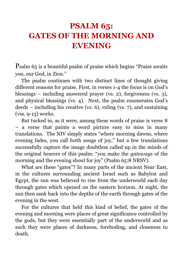## **PSALM 65: GATES OF THE MORNING AND EVENING**

Psalm 65 is a beautiful psalm of praise which begins "Praise awaits you, our God, in Zion."

The psalm continues with two distinct lines of thought giving different reasons for praise. First, in verses 1-4 the focus is on God's blessings – including answered prayer (vs. 2), forgiveness (vs. 3), and physical blessings (vs. 4). Next, the psalm enumerates God's deeds – including his creative (vs. 6), ruling (vs. 7), and sustaining (vss. 9-13) works.

But tucked in, as it were, among these words of praise is verse 8 – a verse that paints a word picture easy to miss in many translations. The NIV simply states "where morning dawns, where evening fades, you call forth songs of joy," but a few translations successfully capture the image doubtless called up in the minds of the original hearers of this psalm: "you make the *gateways* of the morning and the evening shout for joy" (Psalm 65:8 NRSV).

What are these "gates"? In many parts of the ancient Near East, in the cultures surrounding ancient Israel such as Babylon and Egypt, the sun was believed to rise from the underworld each day through gates which opened on the eastern horizon. At night, the sun then sank back into the depths of the earth through gates of the evening in the west.

For the cultures that held this kind of belief, the gates of the evening and morning were places of great significance controlled by the gods, but they were essentially part of the underworld and as such they were places of darkness, foreboding, and closeness to death.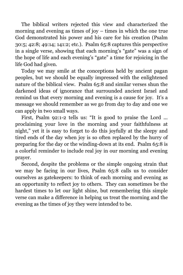The biblical writers rejected this view and characterized the morning and evening as times of joy – times in which the one true God demonstrated his power and his care for his creation (Psalm 30:5; 42:8; 49:14; 141:2; etc.). Psalm 65:8 captures this perspective in a single verse, showing that each morning's "gate" was a sign of the hope of life and each evening's "gate" a time for rejoicing in the life God had given.

Today we may smile at the conceptions held by ancient pagan peoples, but we should be equally impressed with the enlightened nature of the biblical view. Psalm 65:8 and similar verses shun the darkened ideas of ignorance that surrounded ancient Israel and remind us that every morning and evening is a cause for joy. It's a message we should remember as we go from day to day and one we can apply in two small ways.

First, Psalm 92:1-2 tells us: "It is good to praise the Lord ... proclaiming your love in the morning and your faithfulness at night," yet it is easy to forget to do this joyfully at the sleepy and tired ends of the day when joy is so often replaced by the hurry of preparing for the day or the winding-down at its end. Psalm 65:8 is a colorful reminder to include real joy in our morning and evening prayer.

Second, despite the problems or the simple ongoing strain that we may be facing in our lives, Psalm 65:8 calls us to consider ourselves as gatekeepers: to think of each morning and evening as an opportunity to reflect joy to others. They can sometimes be the hardest times to let our light shine, but remembering this simple verse can make a difference in helping us treat the morning and the evening as the times of joy they were intended to be.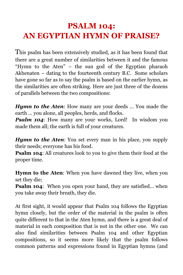# **PSALM 104: AN EGYPTIAN HYMN OF PRAISE?**

This psalm has been extensively studied, as it has been found that there are a great number of similarities between it and the famous "Hymn to the Aten" – the sun god of the Egyptian pharaoh Akhenaten – dating to the fourteenth century B.C. Some scholars have gone so far as to say the psalm is based on the earlier hymn, as the similarities are often striking. Here are just three of the dozens of parallels between the two compositions:

*Hymn to the Aten*: How many are your deeds … You made the earth … you alone, all peoples, herds, and flocks.

*Psalm 104:* How many are your works, Lord! In wisdom you made them all; the earth is full of your creatures.

*Hymn to the Aten:* You set every man in his place, you supply their needs; everyone has his food.

**Psalm 104:** All creatures look to you to give them their food at the proper time.

**Hymn to the Aten**: When you have dawned they live, when you set they die;

**Psalm 104:** When you open your hand, they are satisfied... when you take away their breath, they die.

At first sight, it would appear that Psalm 104 follows the Egyptian hymn closely, but the order of the material in the psalm is often quite different to that in the Aten hymn, and there is a great deal of material in each composition that is not in the other one. We can also find similarities between Psalm 104 and other Egyptian compositions, so it seems more likely that the psalm follows common patterns and expressions found in Egyptian hymns (and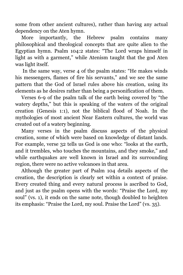some from other ancient cultures), rather than having any actual dependency on the Aten hymn.

More importantly, the Hebrew psalm contains many philosophical and theological concepts that are quite alien to the Egyptian hymn. Psalm 104:2 states: "The Lord wraps himself in light as with a garment," while Atenism taught that the god Aten was light itself.

In the same way, verse 4 of the psalm states: "He makes winds his messengers, flames of fire his servants," and we see the same pattern that the God of Israel rules above his creation, using its elements as he desires rather than being a personification of them.

Verses 6-9 of the psalm talk of the earth being covered by "the watery depths," but this is speaking of the waters of the original creation (Genesis 1:1), not the biblical flood of Noah. In the mythologies of most ancient Near Eastern cultures, the world was created out of a watery beginning.

Many verses in the psalm discuss aspects of the physical creation, some of which were based on knowledge of distant lands. For example, verse 32 tells us God is one who: "looks at the earth, and it trembles, who touches the mountains, and they smoke," and while earthquakes are well known in Israel and its surrounding region, there were no active volcanoes in that area.

Although the greater part of Psalm 104 details aspects of the creation, the description is clearly set within a context of praise. Every created thing and every natural process is ascribed to God, and just as the psalm opens with the words: "Praise the Lord, my soul" (vs. 1), it ends on the same note, though doubled to heighten its emphasis: "Praise the Lord, my soul. Praise the Lord" (vs. 35).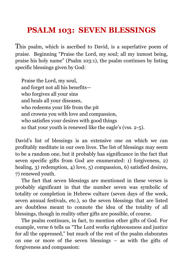#### **PSALM 103: SEVEN BLESSINGS**

This psalm, which is ascribed to David, is a superlative poem of praise. Beginning "Praise the Lord, my soul; all my inmost being, praise his holy name" (Psalm 103:1), the psalm continues by listing specific blessings given by God:

Praise the Lord, my soul, and forget not all his benefits who forgives all your sins and heals all your diseases, who redeems your life from the pit and crowns you with love and compassion, who satisfies your desires with good things so that your youth is renewed like the eagle's (vss. 2-5).

David's list of blessings is an extensive one on which we can profitably meditate in our own lives. The list of blessings may seem to be a random one, but it probably has significance in the fact that seven specific gifts from God are enumerated: 1) forgiveness, 2) healing, 3) redemption, 4) love, 5) compassion, 6) satisfied desires, 7) renewed youth.

The fact that seven blessings are mentioned in these verses is probably significant in that the number seven was symbolic of totality or completion in Hebrew culture (seven days of the week, seven annual festivals, etc.), so the seven blessings that are listed are doubtless meant to connote the idea of the totality of all blessings, though in reality other gifts are possible, of course.

The psalm continues, in fact, to mention other gifts of God. For example, verse 6 tells us "The Lord works righteousness and justice for all the oppressed," but much of the rest of the psalm elaborates on one or more of the seven blessings – as with the gifts of forgiveness and compassion: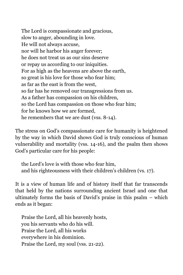The Lord is compassionate and gracious, slow to anger, abounding in love. He will not always accuse, nor will he harbor his anger forever; he does not treat us as our sins deserve or repay us according to our iniquities. For as high as the heavens are above the earth, so great is his love for those who fear him; as far as the east is from the west, so far has he removed our transgressions from us. As a father has compassion on his children, so the Lord has compassion on those who fear him; for he knows how we are formed, he remembers that we are dust (vss. 8-14).

The stress on God's compassionate care for humanity is heightened by the way in which David shows God is truly conscious of human vulnerability and mortality (vss. 14-16), and the psalm then shows God's particular care for his people:

the Lord's love is with those who fear him, and his righteousness with their children's children (vs. 17).

It is a view of human life and of history itself that far transcends that held by the nations surrounding ancient Israel and one that ultimately forms the basis of David's praise in this psalm – which ends as it began:

Praise the Lord, all his heavenly hosts, you his servants who do his will. Praise the Lord, all his works everywhere in his dominion. Praise the Lord, my soul (vss. 21-22).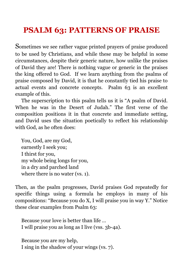# **PSALM 63: PATTERNS OF PRAISE**

Sometimes we see rather vague printed prayers of praise produced to be used by Christians, and while these may be helpful in some circumstances, despite their generic nature, how unlike the praises of David they are! There is nothing vague or generic in the praises the king offered to God. If we learn anything from the psalms of praise composed by David, it is that he constantly tied his praise to actual events and concrete concepts. Psalm 63 is an excellent example of this.

The superscription to this psalm tells us it is "A psalm of David. When he was in the Desert of Judah." The first verse of the composition positions it in that concrete and immediate setting, and David uses the situation poetically to reflect his relationship with God, as he often does:

You, God, are my God, earnestly I seek you; I thirst for you, my whole being longs for you, in a dry and parched land where there is no water (vs. 1).

Then, as the psalm progresses, David praises God repeatedly for specific things using a formula he employs in many of his compositions: "Because you do X, I will praise you in way Y." Notice these clear examples from Psalm 63:

Because your love is better than life … I will praise you as long as I live (vss. 3b-4a).

Because you are my help, I sing in the shadow of your wings (vs. 7).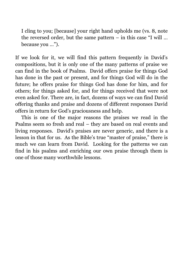I cling to you; [because] your right hand upholds me (vs. 8, note the reversed order, but the same pattern – in this case "I will … because you …").

If we look for it, we will find this pattern frequently in David's compositions, but it is only one of the many patterns of praise we can find in the book of Psalms. David offers praise for things God has done in the past or present, and for things God will do in the future; he offers praise for things God has done for him, and for others; for things asked for, and for things received that were not even asked for. There are, in fact, dozens of ways we can find David offering thanks and praise and dozens of different responses David offers in return for God's graciousness and help.

This is one of the major reasons the praises we read in the Psalms seem so fresh and real – they are based on real events and living responses. David's praises are never generic, and there is a lesson in that for us. As the Bible's true "master of praise," there is much we can learn from David. Looking for the patterns we can find in his psalms and enriching our own praise through them is one of those many worthwhile lessons.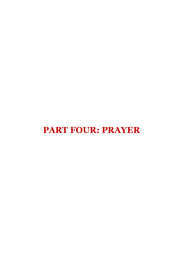# **PART FOUR: PRAYER**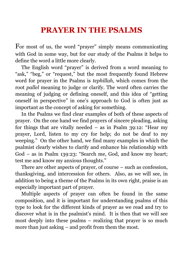#### **PRAYER IN THE PSALMS**

For most of us, the word "prayer" simply means communicating with God in some way, but for our study of the Psalms it helps to define the word a little more clearly.

The English word "prayer" is derived from a word meaning to "ask," "beg," or "request," but the most frequently found Hebrew word for prayer in the Psalms is *tephillah,* which comes from the root *pallel* meaning to judge or clarify. The word often carries the meaning of judging or defining oneself, and this idea of "getting oneself in perspective" in one's approach to God is often just as important as the concept of asking for something.

In the Psalms we find clear examples of both of these aspects of prayer. On the one hand we find prayers of sincere pleading, asking for things that are vitally needed – as in Psalm 39:12: "Hear my prayer, Lord, listen to my cry for help; do not be deaf to my weeping." On the other hand, we find many examples in which the psalmist clearly wishes to clarify and enhance his relationship with God – as in Psalm 139:23: "Search me, God, and know my heart; test me and know my anxious thoughts."

There are other aspects of prayer, of course – such as confession, thanksgiving, and intercession for others. Also, as we will see, in addition to being a theme of the Psalms in its own right, praise is an especially important part of prayer.

Multiple aspects of prayer can often be found in the same composition, and it is important for understanding psalms of this type to look for the different kinds of prayer as we read and try to discover what is in the psalmist's mind. It is then that we will see most deeply into these psalms – realizing that prayer is so much more than just asking – and profit from them the most.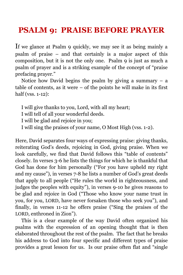#### **PSALM 9: PRAISE BEFORE PRAYER**

If we glance at Psalm 9 quickly, we may see it as being mainly a psalm of praise – and that certainly is a major aspect of this composition, but it is not the only one. Psalm 9 is just as much a psalm of prayer and is a striking example of the concept of "praise prefacing prayer."

Notice how David begins the psalm by giving a summary  $-$  a table of contents, as it were – of the points he will make in its first half (vss. 1-12):

I will give thanks to you, Lord, with all my heart;

I will tell of all your wonderful deeds.

I will be glad and rejoice in you;

I will sing the praises of your name, O Most High (vss. 1-2).

Here, David separates four ways of expressing praise: giving thanks, reiterating God's deeds, rejoicing in God, giving praise. When we look carefully, we find that David follows this "table of contents" closely. In verses 3-6 he lists the things for which he is thankful that God has done for him personally ("For you have upheld my right and my cause"), in verses 7-8 he lists a number of God's great deeds that apply to all people ("He rules the world in righteousness, and judges the peoples with equity"), in verses 9-10 he gives reasons to be glad and rejoice in God ("Those who know your name trust in you, for you, LORD, have never forsaken those who seek you"), and finally, in verses 11-12 he offers praise ("Sing the praises of the LORD, enthroned in Zion").

This is a clear example of the way David often organized his psalms with the expression of an opening thought that is then elaborated throughout the rest of the psalm. The fact that he breaks his address to God into four specific and different types of praise provides a great lesson for us. Is our praise often flat and "single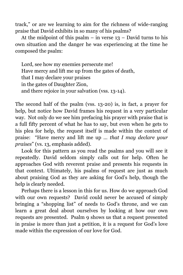track," or are we learning to aim for the richness of wide-ranging praise that David exhibits in so many of his psalms?

At the midpoint of this psalm – in verse  $13$  – David turns to his own situation and the danger he was experiencing at the time he composed the psalm:

Lord, see how my enemies persecute me! Have mercy and lift me up from the gates of death, that I may declare your praises in the gates of Daughter Zion, and there rejoice in your salvation (vss. 13-14).

The second half of the psalm (vss. 13-20) is, in fact, a prayer for help, but notice how David frames his request in a very particular way. Not only do we see him prefacing his prayer with praise that is a full fifty percent of what he has to say, but even when he gets to his plea for help, the request itself is made within the context of praise: "Have mercy and lift me up … *that I may declare your praises*" (vs. 13, emphasis added).

Look for this pattern as you read the psalms and you will see it repeatedly. David seldom simply calls out for help. Often he approaches God with reverent praise and presents his requests in that context. Ultimately, his psalms of request are just as much about praising God as they are asking for God's help, though the help is clearly needed.

Perhaps there is a lesson in this for us. How do we approach God with our own requests? David could never be accused of simply bringing a "shopping list" of needs to God's throne, and we can learn a great deal about ourselves by looking at how our own requests are presented. Psalm 9 shows us that a request presented in praise is more than just a petition, it is a request for God's love made within the expression of our love for God.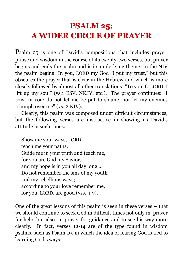# **PSALM 25: A WIDER CIRCLE OF PRAYER**

Psalm 25 is one of David's compositions that includes prayer, praise and wisdom in the course of its twenty-two verses, but prayer begins and ends the psalm and is its underlying theme. In the NIV the psalm begins "In you, LORD my God I put my trust," but this obscures the prayer that is clear in the Hebrew and which is more closely followed by almost all other translations: "To you, O LORD, I lift up my soul" (vs.1 ESV, NKJV, etc.). The prayer continues: "I trust in you; do not let me be put to shame, nor let my enemies triumph over me" (vs. 2 NIV).

Clearly, this psalm was composed under difficult circumstances, but the following verses are instructive in showing us David's attitude in such times:

Show me your ways, LORD, teach me your paths. Guide me in your truth and teach me, for you are God my Savior, and my hope is in you all day long ... Do not remember the sins of my youth and my rebellious ways; according to your love remember me, for you, LORD, are good (vss. 4-7).

One of the great lessons of this psalm is seen in these verses – that we should continue to seek God in difficult times not only in prayer for help, but also in prayer for guidance and to see his way more clearly. In fact, verses 12-14 are of the type found in wisdom psalms, such as Psalm 19, in which the idea of fearing God is tied to learning God's ways: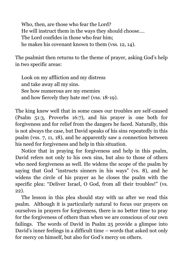Who, then, are those who fear the Lord? He will instruct them in the ways they should choose…. The Lord confides in those who fear him; he makes his covenant known to them (vss. 12, 14).

The psalmist then returns to the theme of prayer, asking God's help in two specific areas:

Look on my affliction and my distress and take away all my sins. See how numerous are my enemies and how fiercely they hate me! (vss. 18-19).

The king knew well that in some cases our troubles are self-caused (Psalm 51:3, Proverbs 16:7), and his prayer is one both for forgiveness and for relief from the dangers he faced. Naturally, this is not always the case, but David speaks of his sins repeatedly in this psalm (vss. 7, 11, 18), and he apparently saw a connection between his need for forgiveness and help in this situation.

Notice that in praying for forgiveness and help in this psalm, David refers not only to his own sins, but also to those of others who need forgiveness as well. He widens the scope of the psalm by saying that God "instructs sinners in his ways" (vs. 8), and he widens the circle of his prayer as he closes the psalm with the specific plea: "Deliver Israel, O God, from all their troubles!" (vs. 22).

The lesson in this plea should stay with us after we read this psalm. Although it is particularly natural to focus our prayers on ourselves in prayers for forgiveness, there is no better time to pray for the forgiveness of others than when we are conscious of our own failings. The words of David in Psalm 25 provide a glimpse into David's inner feelings in a difficult time – words that asked not only for mercy on himself, but also for God's mercy on others.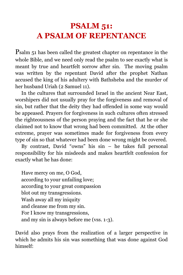## **PSALM 51: A PSALM OF REPENTANCE**

Psalm 51 has been called the greatest chapter on repentance in the whole Bible, and we need only read the psalm to see exactly what is meant by true and heartfelt sorrow after sin. The moving psalm was written by the repentant David after the prophet Nathan accused the king of his adultery with Bathsheba and the murder of her husband Uriah (2 Samuel 11).

In the cultures that surrounded Israel in the ancient Near East, worshipers did not usually pray for the forgiveness and removal of sin, but rather that the deity they had offended in some way would be appeased. Prayers for forgiveness in such cultures often stressed the righteousness of the person praying and the fact that he or she claimed not to know that wrong had been committed. At the other extreme, prayer was sometimes made for forgiveness from every type of sin so that whatever had been done wrong might be covered.

By contrast, David "owns" his sin – he takes full personal responsibility for his misdeeds and makes heartfelt confession for exactly what he has done:

Have mercy on me, O God, according to your unfailing love; according to your great compassion blot out my transgressions. Wash away all my iniquity and cleanse me from my sin. For I know my transgressions, and my sin is always before me (vss. 1-3).

David also prays from the realization of a larger perspective in which he admits his sin was something that was done against God himself: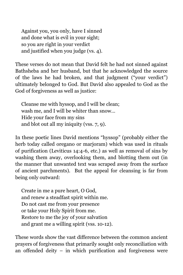Against you, you only, have I sinned and done what is evil in your sight; so you are right in your verdict and justified when you judge (vs. 4).

These verses do not mean that David felt he had not sinned against Bathsheba and her husband, but that he acknowledged the source of the laws he had broken, and that judgment ("your verdict") ultimately belonged to God. But David also appealed to God as the God of forgiveness as well as justice:

Cleanse me with hyssop, and I will be clean; wash me, and I will be whiter than snow… Hide your face from my sins and blot out all my iniquity (vss. 7, 9).

In these poetic lines David mentions "hyssop" (probably either the herb today called oregano or marjoram) which was used in rituals of purification (Leviticus 14:4-6, etc.) as well as removal of sins by washing them away, overlooking them, and blotting them out (in the manner that unwanted text was scraped away from the surface of ancient parchments). But the appeal for cleansing is far from being only outward:

Create in me a pure heart, O God, and renew a steadfast spirit within me. Do not cast me from your presence or take your Holy Spirit from me. Restore to me the joy of your salvation and grant me a willing spirit (vss. 10-12).

These words show the vast difference between the common ancient prayers of forgiveness that primarily sought only reconciliation with an offended deity – in which purification and forgiveness were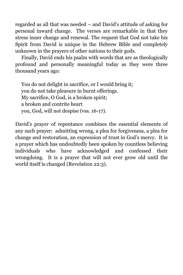regarded as all that was needed – and David's attitude of asking for personal inward change. The verses are remarkable in that they stress inner change and renewal. The request that God not take his Spirit from David is unique in the Hebrew Bible and completely unknown in the prayers of other nations to their gods.

Finally, David ends his psalm with words that are as theologically profound and personally meaningful today as they were three thousand years ago:

You do not delight in sacrifice, or I would bring it; you do not take pleasure in burnt offerings. My sacrifice, O God, is a broken spirit; a broken and contrite heart you, God, will not despise (vss. 16-17).

David's prayer of repentance combines the essential elements of any such prayer: admitting wrong, a plea for forgiveness, a plea for change and restoration, an expression of trust in God's mercy. It is a prayer which has undoubtedly been spoken by countless believing individuals who have acknowledged and confessed their wrongdoing. It is a prayer that will not ever grow old until the world itself is changed (Revelation 22:3).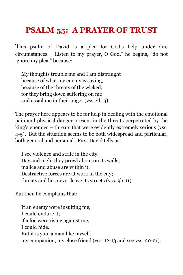## **PSALM 55: A PRAYER OF TRUST**

This psalm of David is a plea for God's help under dire circumstances. "Listen to my prayer, O God," he begins, "do not ignore my plea," because:

My thoughts trouble me and I am distraught because of what my enemy is saying, because of the threats of the wicked; for they bring down suffering on me and assail me in their anger (vss. 2b-3).

The prayer here appears to be for help in dealing with the emotional pain and physical danger present in the threats perpetrated by the king's enemies – threats that were evidently extremely serious (vss. 4-5). But the situation seems to be both widespread and particular, both general and personal. First David tells us:

I see violence and strife in the city. Day and night they prowl about on its walls; malice and abuse are within it. Destructive forces are at work in the city; threats and lies never leave its streets (vss. 9b-11).

But then he complains that:

If an enemy were insulting me, I could endure it; if a foe were rising against me, I could hide. But it is you, a man like myself, my companion, my close friend (vss. 12-13 and see vss. 20-21).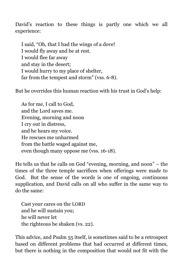David's reaction to these things is partly one which we all experience:

I said, "Oh, that I had the wings of a dove! I would fly away and be at rest. I would flee far away and stay in the desert; I would hurry to my place of shelter, far from the tempest and storm" (vss. 6-8).

But he overrides this human reaction with his trust in God's help:

As for me, I call to God, and the Lord saves me. Evening, morning and noon I cry out in distress, and he hears my voice. He rescues me unharmed from the battle waged against me, even though many oppose me (vss. 16-18).

He tells us that he calls on God "evening, morning, and noon" – the times of the three temple sacrifices when offerings were made to God. But the sense of the words is one of ongoing, continuous supplication, and David calls on all who suffer in the same way to do the same:

Cast your cares on the LORD and he will sustain you; he will never let the righteous be shaken (vs. 22).

This advice, and Psalm 55 itself, is sometimes said to be a retrospect based on different problems that had occurred at different times, but there is nothing in the composition that would not fit with the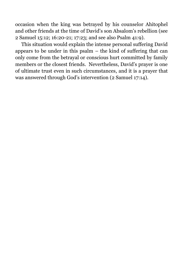occasion when the king was betrayed by his counselor Ahitophel and other friends at the time of David's son Absalom's rebellion (see 2 Samuel 15:12; 16:20-21; 17:23; and see also Psalm 41:9).

This situation would explain the intense personal suffering David appears to be under in this psalm – the kind of suffering that can only come from the betrayal or conscious hurt committed by family members or the closest friends. Nevertheless, David's prayer is one of ultimate trust even in such circumstances, and it is a prayer that was answered through God's intervention (2 Samuel 17:14).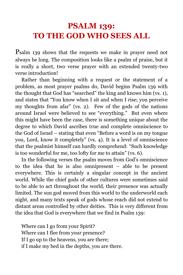#### **PSALM 139: TO THE GOD WHO SEES ALL**

Psalm 139 shows that the requests we make in prayer need not always be long. The composition looks like a psalm of praise, but it is really a short, two verse prayer with an extended twenty-two verse introduction!

Rather than beginning with a request or the statement of a problem, as most prayer psalms do, David begins Psalm 139 with the thought that God has "searched" the king and knows him (vs. 1), and states that "You know when I sit and when I rise; you perceive my thoughts from afar" (vs. 2). Few of the gods of the nations around Israel were believed to see "everything." But even where this might have been the case, there is something unique about the degree to which David ascribes true and complete omniscience to the God of Israel – stating that even "Before a word is on my tongue you, Lord, know it completely" (vs. 4). It is a level of omniscience that the psalmist himself can hardly comprehend: "Such knowledge is too wonderful for me, too lofty for me to attain" (vs. 6).

In the following verses the psalm moves from God's omniscience to the idea that he is also omnipresent – able to be present everywhere. This is certainly a singular concept in the ancient world. While the chief gods of other cultures were sometimes said to be able to act throughout the world, their presence was actually limited. The sun god moved from this world to the underworld each night, and many texts speak of gods whose reach did not extend to distant areas controlled by other deities. This is very different from the idea that God is everywhere that we find in Psalm 139:

Where can I go from your Spirit? Where can I flee from your presence? If I go up to the heavens, you are there; if I make my bed in the depths, you are there.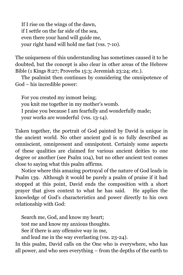If I rise on the wings of the dawn, if I settle on the far side of the sea, even there your hand will guide me, your right hand will hold me fast (vss. 7-10).

The uniqueness of this understanding has sometimes caused it to be doubted, but the concept is also clear in other areas of the Hebrew Bible (1 Kings 8:27; Proverbs 15:3; Jeremiah 23:24; etc.).

The psalmist then continues by considering the omnipotence of God – his incredible power:

For you created my inmost being; you knit me together in my mother's womb. I praise you because I am fearfully and wonderfully made; your works are wonderful (vss. 13-14).

Taken together, the portrait of God painted by David is unique in the ancient world. No other ancient god is so fully described as omniscient, omnipresent and omnipotent. Certainly some aspects of these qualities are claimed for various ancient deities to one degree or another (see Psalm 104), but no other ancient text comes close to saying what this psalm affirms.

Notice where this amazing portrayal of the nature of God leads in Psalm 139. Although it would be purely a psalm of praise if it had stopped at this point, David ends the composition with a short prayer that gives context to what he has said. He applies the knowledge of God's characteristics and power directly to his own relationship with God:

Search me, God, and know my heart; test me and know my anxious thoughts. See if there is any offensive way in me, and lead me in the way everlasting (vss. 23-24).

In this psalm, David calls on the One who is everywhere, who has all power, and who sees everything – from the depths of the earth to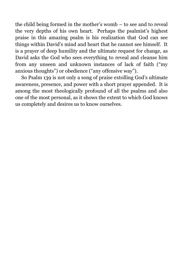the child being formed in the mother's womb – to see and to reveal the very depths of his own heart. Perhaps the psalmist's highest praise in this amazing psalm is his realization that God can see things within David's mind and heart that he cannot see himself. It is a prayer of deep humility and the ultimate request for change, as David asks the God who sees everything to reveal and cleanse him from any unseen and unknown instances of lack of faith ("my anxious thoughts") or obedience ("any offensive way").

So Psalm 139 is not only a song of praise extolling God's ultimate awareness, presence, and power with a short prayer appended. It is among the most theologically profound of all the psalms and also one of the most personal, as it shows the extent to which God knows us completely and desires us to know ourselves.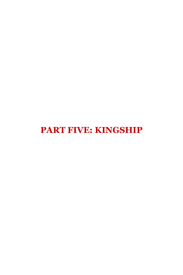# **PART FIVE: KINGSHIP**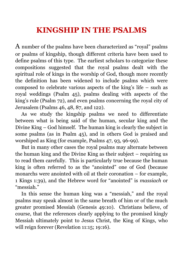#### **KINGSHIP IN THE PSALMS**

A number of the psalms have been characterized as "royal" psalms or psalms of kingship, though different criteria have been used to define psalms of this type. The earliest scholars to categorize these compositions suggested that the royal psalms dealt with the spiritual role of kings in the worship of God, though more recently the definition has been widened to include psalms which were composed to celebrate various aspects of the king's life – such as royal weddings (Psalm 45), psalms dealing with aspects of the king's rule (Psalm 72), and even psalms concerning the royal city of Jerusalem (Psalms 46, 48, 87, and 122).

As we study the kingship psalms we need to differentiate between what is being said of the human, secular king and the Divine King – God himself. The human king is clearly the subject in some psalms (as in Psalm 45), and in others God is praised and worshiped as King (for example, Psalms 47, 93, 96-99).

But in many other cases the royal psalms may alternate between the human king and the Divine King as their subject – requiring us to read them carefully. This is particularly true because the human king is often referred to as the "anointed" one of God (because monarchs were anointed with oil at their coronation – for example, 1 Kings 1:39), and the Hebrew word for "anointed" is *massiach* or "messiah."

In this sense the human king was a "messiah," and the royal psalms may speak almost in the same breath of him or of the much greater promised Messiah (Genesis 49:10). Christians believe, of course, that the references clearly applying to the promised kingly Messiah ultimately point to Jesus Christ, the King of Kings, who will reign forever (Revelation 11:15; 19:16).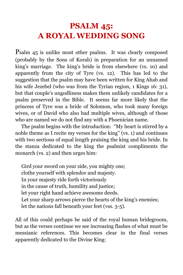## **PSALM 45: A ROYAL WEDDING SONG**

Psalm 45 is unlike most other psalms. It was clearly composed (probably by the Sons of Korah) in preparation for an unnamed king's marriage. The king's bride is from elsewhere (vs. 10) and apparently from the city of Tyre (vs. 12). This has led to the suggestion that the psalm may have been written for King Ahab and his wife Jezebel (who was from the Tyrian region, 1 Kings 16: 31), but that couple's ungodliness makes them unlikely candidates for a psalm preserved in the Bible. It seems far more likely that the princess of Tyre was a bride of Solomon, who took many foreign wives, or of David who also had multiple wives, although of those who are named we do not find any with a Phoenician name.

The psalm begins with the introduction: "My heart is stirred by a noble theme as I recite my verses for the king" (vs. 1) and continues with two sections of equal length praising the king and his bride. In the stanza dedicated to the king the psalmist compliments the monarch (vs. 2) and then urges him:

Gird your sword on your side, you mighty one; clothe yourself with splendor and majesty. In your majesty ride forth victoriously in the cause of truth, humility and justice; let your right hand achieve awesome deeds. Let your sharp arrows pierce the hearts of the king's enemies; let the nations fall beneath your feet (vss. 3-5).

All of this could perhaps be said of the royal human bridegroom, but as the verses continue we see increasing flashes of what must be messianic references. This becomes clear in the final verses apparently dedicated to the Divine King: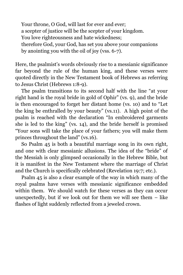Your throne, O God, will last for ever and ever; a scepter of justice will be the scepter of your kingdom. You love righteousness and hate wickedness; therefore God, your God, has set you above your companions by anointing you with the oil of joy (vss. 6-7).

Here, the psalmist's words obviously rise to a messianic significance far beyond the rule of the human king, and these verses were quoted directly in the New Testament book of Hebrews as referring to Jesus Christ (Hebrews 1:8-9).

The psalm transitions to its second half with the line "at your right hand is the royal bride in gold of Ophir" (vs. 9), and the bride is then encouraged to forget her distant home (vs. 10) and to "Let the king be enthralled by your beauty" (vs.11). A high point of the psalm is reached with the declaration "In embroidered garments she is led to the king" (vs. 14), and the bride herself is promised "Your sons will take the place of your fathers; you will make them princes throughout the land" (vs.16).

So Psalm 45 is both a beautiful marriage song in its own right, and one with clear messianic allusions. The idea of the "bride" of the Messiah is only glimpsed occasionally in the Hebrew Bible, but it is manifest in the New Testament where the marriage of Christ and the Church is specifically celebrated (Revelation 19:7; etc.).

Psalm 45 is also a clear example of the way in which many of the royal psalms have verses with messianic significance embedded within them. We should watch for these verses as they can occur unexpectedly, but if we look out for them we will see them  $-$  like flashes of light suddenly reflected from a jeweled crown.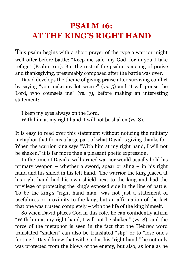#### **PSALM 16: AT THE KING'S RIGHT HAND**

This psalm begins with a short prayer of the type a warrior might well offer before battle: "Keep me safe, my God, for in you I take refuge" (Psalm 16:1). But the rest of the psalm is a song of praise and thanksgiving, presumably composed after the battle was over.

David develops the theme of giving praise after surviving conflict by saying "you make my lot secure" (vs. 5) and "I will praise the Lord, who counsels me" (vs. 7), before making an interesting statement:

I keep my eyes always on the Lord. With him at my right hand, I will not be shaken (vs. 8).

It is easy to read over this statement without noticing the military metaphor that forms a large part of what David is giving thanks for. When the warrior king says "With him at my right hand, I will not be shaken," it is far more than a pleasant poetic expression.

In the time of David a well-armed warrior would usually hold his primary weapon – whether a sword, spear or sling – in his right hand and his shield in his left hand. The warrior the king placed at his right hand had his own shield next to the king and had the privilege of protecting the king's exposed side in the line of battle. To be the king's "right hand man" was not just a statement of usefulness or proximity to the king, but an affirmation of the fact that one was trusted completely – with the life of the king himself.

So when David places God in this role, he can confidently affirm "With him at my right hand, I will not be shaken" (vs. 8), and the force of the metaphor is seen in the fact that the Hebrew word translated "shaken" can also be translated "slip" or to "lose one's footing." David knew that with God at his "right hand," he not only was protected from the blows of the enemy, but also, as long as he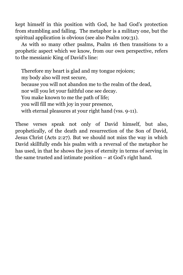kept himself in this position with God, he had God's protection from stumbling and falling. The metaphor is a military one, but the spiritual application is obvious (see also Psalm 109:31).

As with so many other psalms, Psalm 16 then transitions to a prophetic aspect which we know, from our own perspective, refers to the messianic King of David's line:

Therefore my heart is glad and my tongue rejoices; my body also will rest secure, because you will not abandon me to the realm of the dead, nor will you let your faithful one see decay. You make known to me the path of life; you will fill me with joy in your presence, with eternal pleasures at your right hand (vss. 9-11).

These verses speak not only of David himself, but also, prophetically, of the death and resurrection of the Son of David, Jesus Christ (Acts 2:27). But we should not miss the way in which David skillfully ends his psalm with a reversal of the metaphor he has used, in that he shows the joys of eternity in terms of serving in the same trusted and intimate position – at God's right hand.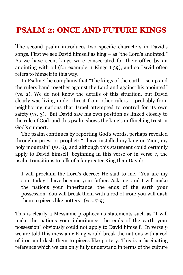#### **PSALM 2: ONCE AND FUTURE KINGS**

The second psalm introduces two specific characters in David's songs. First we see David himself as king – as "the Lord's anointed." As we have seen, kings were consecrated for their office by an anointing with oil (for example, 1 Kings 1:39), and so David often refers to himself in this way.

In Psalm 2 he complains that "The kings of the earth rise up and the rulers band together against the Lord and against his anointed" (vs. 2). We do not know the details of this situation, but David clearly was living under threat from other rulers – probably from neighboring nations that Israel attempted to control for its own safety (vs. 3). But David saw his own position as linked closely to the rule of God, and this psalm shows the king's unflinching trust in God's support.

The psalm continues by reporting God's words, perhaps revealed through a priest or prophet: "I have installed my king on Zion, my holy mountain" (vs. 6), and although this statement could certainly apply to David himself, beginning in this verse or in verse 7, the psalm transitions to talk of a far greater King than David:

I will proclaim the Lord's decree: He said to me, "You are my son; today I have become your father. Ask me, and I will make the nations your inheritance, the ends of the earth your possession. You will break them with a rod of iron; you will dash them to pieces like pottery" (vss. 7-9).

This is clearly a Messianic prophecy as statements such as "I will make the nations your inheritance, the ends of the earth your possession" obviously could not apply to David himself. In verse 9 we are told this messianic King would break the nations with a rod of iron and dash them to pieces like pottery. This is a fascinating reference which we can only fully understand in terms of the culture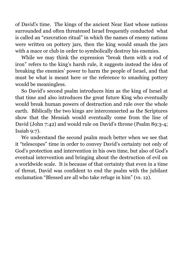of David's time. The kings of the ancient Near East whose nations surrounded and often threatened Israel frequently conducted what is called an "execration ritual" in which the names of enemy nations were written on pottery jars, then the king would smash the jars with a mace or club in order to symbolically destroy his enemies.

While we may think the expression "break them with a rod of iron" refers to the king's harsh rule, it suggests instead the idea of breaking the enemies' power to harm the people of Israel, and that must be what is meant here or the reference to smashing pottery would be meaningless.

So David's second psalm introduces him as the king of Israel at that time and also introduces the great future King who eventually would break human powers of destruction and rule over the whole earth. Biblically the two kings are interconnected as the Scriptures show that the Messiah would eventually come from the line of David (John 7:42) and would rule on David's throne (Psalm 89:3-4; Isaiah 9:7).

We understand the second psalm much better when we see that it "telescopes" time in order to convey David's certainty not only of God's protection and intervention in his own time, but also of God's eventual intervention and bringing about the destruction of evil on a worldwide scale. It is because of that certainty that even in a time of threat, David was confident to end the psalm with the jubilant exclamation "Blessed are all who take refuge in him" (vs. 12).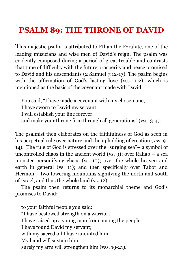# **PSALM 89: THE THRONE OF DAVID**

This majestic psalm is attributed to Ethan the Ezrahite, one of the leading musicians and wise men of David's reign. The psalm was evidently composed during a period of great trouble and contrasts that time of difficulty with the future prosperity and peace promised to David and his descendants (2 Samuel 7:12-17). The psalm begins with the affirmation of God's lasting love (vss. 1-2), which is mentioned as the basis of the covenant made with David:

You said, "I have made a covenant with my chosen one,

I have sworn to David my servant,

I will establish your line forever

and make your throne firm through all generations" (vss. 3-4).

The psalmist then elaborates on the faithfulness of God as seen in his perpetual rule over nature and the upholding of creation (vss. 9-14). The rule of God is stressed over the "surging sea"– a symbol of uncontrolled chaos in the ancient world (vs. 9); over Rahab – a sea monster personifying chaos (vs. 10); over the whole heaven and earth in general (vs. 11); and then specifically over Tabor and Hermon – two towering mountains signifying the north and south of Israel, and thus the whole land (vs. 12).

The psalm then returns to its monarchial theme and God's promises to David:

to your faithful people you said: "I have bestowed strength on a warrior; I have raised up a young man from among the people. I have found David my servant; with my sacred oil I have anointed him. My hand will sustain him; surely my arm will strengthen him (vss. 19-21).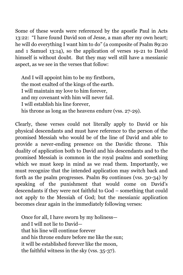Some of these words were referenced by the apostle Paul in Acts 13:22: "I have found David son of Jesse, a man after my own heart; he will do everything I want him to do" (a composite of Psalm 89:20 and 1 Samuel 13:14), so the application of verses 19-21 to David himself is without doubt. But they may well still have a messianic aspect, as we see in the verses that follow:

And I will appoint him to be my firstborn, the most exalted of the kings of the earth. I will maintain my love to him forever, and my covenant with him will never fail. I will establish his line forever, his throne as long as the heavens endure (vss. 27-29).

Clearly, these verses could not literally apply to David or his physical descendants and must have reference to the person of the promised Messiah who would be of the line of David and able to provide a never-ending presence on the Davidic throne. This duality of application both to David and his descendants and to the promised Messiah is common in the royal psalms and something which we must keep in mind as we read them. Importantly, we must recognize that the intended application may switch back and forth as the psalm progresses. Psalm 89 continues (vss. 30-34) by speaking of the punishment that would come on David's descendants if they were not faithful to God – something that could not apply to the Messiah of God; but the messianic application becomes clear again in the immediately following verses:

Once for all, I have sworn by my holiness and I will not lie to David that his line will continue forever and his throne endure before me like the sun; it will be established forever like the moon, the faithful witness in the sky (vss. 35-37).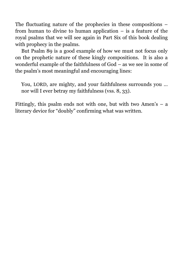The fluctuating nature of the prophecies in these compositions – from human to divine to human application – is a feature of the royal psalms that we will see again in Part Six of this book dealing with prophecy in the psalms.

But Psalm 89 is a good example of how we must not focus only on the prophetic nature of these kingly compositions. It is also a wonderful example of the faithfulness of God – as we see in some of the psalm's most meaningful and encouraging lines:

You, LORD, are mighty, and your faithfulness surrounds you … nor will I ever betray my faithfulness (vss. 8, 33).

Fittingly, this psalm ends not with one, but with two Amen's  $-$  a literary device for "doubly" confirming what was written.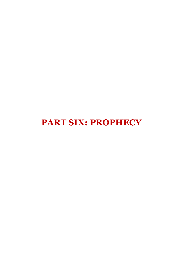**PART SIX: PROPHECY**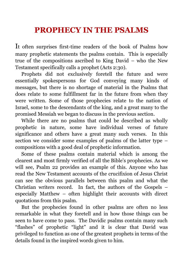### **PROPHECY IN THE PSALMS**

It often surprises first-time readers of the book of Psalms how many prophetic statements the psalms contain. This is especially true of the compositions ascribed to King David – who the New Testament specifically calls a prophet (Acts 2:30).

Prophets did not exclusively foretell the future and were essentially spokespersons for God conveying many kinds of messages, but there is no shortage of material in the Psalms that does relate to some fulfillment far in the future from when they were written. Some of those prophecies relate to the nation of Israel, some to the descendants of the king, and a great many to the promised Messiah we began to discuss in the previous section.

While there are no psalms that could be described as wholly prophetic in nature, some have individual verses of future significance and others have a great many such verses. In this section we consider some examples of psalms of the latter type – compositions with a good deal of prophetic information.

Some of these psalms contain material which is among the clearest and most firmly verified of all the Bible's prophecies. As we will see, Psalm 22 provides an example of this. Anyone who has read the New Testament accounts of the crucifixion of Jesus Christ can see the obvious parallels between this psalm and what the Christian writers record. In fact, the authors of the Gospels – especially Matthew – often highlight their accounts with direct quotations from this psalm.

But the prophecies found in other psalms are often no less remarkable in what they foretell and in how those things can be seen to have come to pass. The Davidic psalms contain many such "flashes" of prophetic "light" and it is clear that David was privileged to function as one of the greatest prophets in terms of the details found in the inspired words given to him.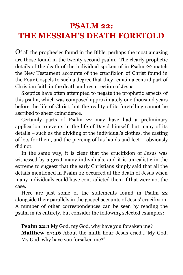# <span id="page-76-0"></span>**PSALM 22: THE MESSIAH'S DEATH FORETOLD**

Of all the prophecies found in the Bible, perhaps the most amazing are those found in the twenty-second psalm. The clearly prophetic details of the death of the individual spoken of in Psalm 22 match the New Testament accounts of the crucifixion of Christ found in the Four Gospels to such a degree that they remain a central part of Christian faith in the death and resurrection of Jesus.

Skeptics have often attempted to negate the prophetic aspects of this psalm, which was composed approximately one thousand years before the life of Christ, but the reality of its foretelling cannot be ascribed to sheer coincidence.

Certainly parts of Psalm 22 may have had a preliminary application to events in the life of David himself, but many of its details – such as the dividing of the individual's clothes, the casting of lots for them, and the piercing of his hands and feet – obviously did not.

In the same way, it is clear that the crucifixion of Jesus was witnessed by a great many individuals, and it is unrealistic in the extreme to suggest that the early Christians simply said that all the details mentioned in Psalm 22 occurred at the death of Jesus when many individuals could have contradicted them if that were not the case.

Here are just some of the statements found in Psalm 22 alongside their parallels in the gospel accounts of Jesus' crucifixion. A number of other correspondences can be seen by reading the psalm in its entirety, but consider the following selected examples:

**Psalm 22:1** My God, my God, why have you forsaken me? **Matthew 27:46** About the ninth hour Jesus cried…"My God, My God, why have you forsaken me?"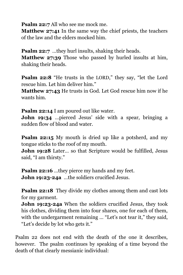**Psalm 22:7** All who see me mock me.

**Matthew 27:41** In the same way the chief priests, the teachers of the law and the elders mocked him.

**Psalm 22:7** ...they hurl insults, shaking their heads.

**Matthew 27:39** Those who passed by hurled insults at him, shaking their heads.

**Psalm 22:8** "He trusts in the LORD," they say, "let the Lord rescue him. Let him deliver him."

**Matthew 27:43** He trusts in God. Let God rescue him now if he wants him.

**Psalm 22:14** I am poured out like water.

**John 19:34** …pierced Jesus' side with a spear, bringing a sudden flow of blood and water.

**Psalm 22:15** My mouth is dried up like a potsherd, and my tongue sticks to the roof of my mouth.

**John 19:28** Later... so that Scripture would be fulfilled, Jesus said, "I am thirsty."

**Psalm 22:16** ...they pierce my hands and my feet. **John 19:23-24a** …the soldiers crucified Jesus.

**Psalm 22:18** They divide my clothes among them and cast lots for my garment.

**John 19:23-24a** When the soldiers crucified Jesus, they took his clothes, dividing them into four shares, one for each of them, with the undergarment remaining ... "Let's not tear it," they said, "Let's decide by lot who gets it."

Psalm 22 does not end with the death of the one it describes, however. The psalm continues by speaking of a time beyond the death of that clearly messianic individual: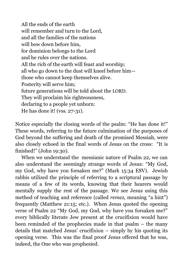All the ends of the earth will remember and turn to the Lord, and all the families of the nations will bow down before him, for dominion belongs to the Lord and he rules over the nations. All the rich of the earth will feast and worship; all who go down to the dust will kneel before him those who cannot keep themselves alive. Posterity will serve him; future generations will be told about the LORD. They will proclaim his righteousness, declaring to a people yet unborn: He has done it! (vss. 27-31).

Notice especially the closing words of the psalm: "He has done it!" These words, referring to the future culmination of the purposes of God beyond the suffering and death of the promised Messiah, were also closely echoed in the final words of Jesus on the cross: "It is finished!" (John 19:30).

When we understand the messianic nature of Psalm 22, we can also understand the seemingly strange words of Jesus: "My God, my God, why have you forsaken me?" (Mark 15:34 ESV). Jewish rabbis utilized the principle of referring to a scriptural passage by means of a few of its words, knowing that their hearers would mentally supply the rest of the passage. We see Jesus using this method of teaching and reference (called *remez*, meaning "a hint") frequently (Matthew 21:15; etc.). When Jesus quoted the opening verse of Psalm 22 "My God, my God, why have you forsaken me?" every biblically literate Jew present at the crucifixion would have been reminded of the prophecies made in that psalm – the many details that matched Jesus' crucifixion – simply by his quoting its opening verse. This was the final proof Jesus offered that he was, indeed, the One who was prophesied.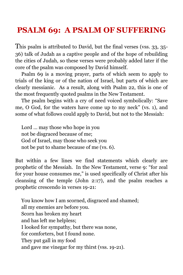### <span id="page-79-0"></span>**PSALM 69: A PSALM OF SUFFERING**

This psalm is attributed to David, but the final verses (vss. 33, 35- 36) talk of Judah as a captive people and of the hope of rebuilding the cities of Judah, so these verses were probably added later if the core of the psalm was composed by David himself.

Psalm 69 is a moving prayer, parts of which seem to apply to trials of the king or of the nation of Israel, but parts of which are clearly messianic. As a result, along with Psalm 22, this is one of the most frequently quoted psalms in the New Testament.

The psalm begins with a cry of need voiced symbolically: "Save me, O God, for the waters have come up to my neck" (vs. 1), and some of what follows could apply to David, but not to the Messiah:

Lord … may those who hope in you not be disgraced because of me; God of Israel, may those who seek you not be put to shame because of me (vs. 6).

But within a few lines we find statements which clearly are prophetic of the Messiah. In the New Testament, verse 9: "for zeal for your house consumes me," is used specifically of Christ after his cleansing of the temple (John 2:17), and the psalm reaches a prophetic crescendo in verses 19-21:

You know how I am scorned, disgraced and shamed; all my enemies are before you. Scorn has broken my heart and has left me helpless; I looked for sympathy, but there was none, for comforters, but I found none. They put gall in my food and gave me vinegar for my thirst (vss. 19-21).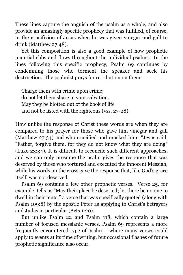These lines capture the anguish of the psalm as a whole, and also provide an amazingly specific prophecy that was fulfilled, of course, in the crucifixion of Jesus when he was given vinegar and gall to drink (Matthew 27:48).

Yet this composition is also a good example of how prophetic material ebbs and flows throughout the individual psalms. In the lines following this specific prophecy, Psalm 69 continues by condemning those who torment the speaker and seek his destruction. The psalmist prays for retribution on them:

Charge them with crime upon crime; do not let them share in your salvation. May they be blotted out of the book of life and not be listed with the righteous (vss. 27-28).

How unlike the response of Christ these words are when they are compared to his prayer for those who gave him vinegar and gall (Matthew 27:34) and who crucified and mocked him: "Jesus said, "Father, forgive them, for they do not know what they are doing" (Luke 23:34). It is difficult to reconcile such different approaches, and we can only presume the psalm gives the response that was deserved by those who tortured and executed the innocent Messiah, while his words on the cross gave the response that, like God's grace itself, was not deserved.

Psalm 69 contains a few other prophetic verses. Verse 25, for example, tells us "May their place be deserted; let there be no one to dwell in their tents," a verse that was specifically quoted (along with Psalm 109:8) by the apostle Peter as applying to Christ's betrayers and Judas in particular (Acts 1:20).

But unlike Psalm 22 and Psalm 118, which contain a large number of focused messianic verses, Psalm 69 represents a more frequently encountered type of psalm – where many verses could apply to events at its time of writing, but occasional flashes of future prophetic significance also occur.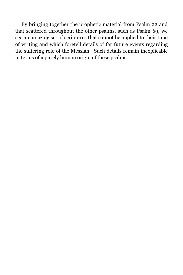By bringing together the prophetic material from Psalm 22 and that scattered throughout the other psalms, such as Psalm 69, we see an amazing set of scriptures that cannot be applied to their time of writing and which foretell details of far future events regarding the suffering role of the Messiah. Such details remain inexplicable in terms of a purely human origin of these psalms.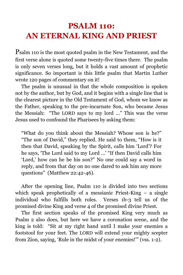## <span id="page-82-0"></span>**PSALM 110: AN ETERNAL KING AND PRIEST**

Psalm 110 is the most quoted psalm in the New Testament, and the first verse alone is quoted some twenty-five times there. The psalm is only seven verses long, but it holds a vast amount of prophetic significance. So important is this little psalm that Martin Luther wrote 120 pages of commentary on it!

The psalm is unusual in that the whole composition is spoken not by the author, but by God, and it begins with a single line that is the clearest picture in the Old Testament of God, whom we know as the Father, speaking to the pre-incarnate Son, who became Jesus the Messiah: "The LORD says to my lord …" This was the verse Jesus used to confound the Pharisees by asking them:

"What do you think about the Messiah? Whose son is he?" "The son of David," they replied. He said to them, "How is it then that David, speaking by the Spirit, calls him 'Lord'? For he says, 'The Lord said to my Lord …' "If then David calls him 'Lord,' how can he be his son?" No one could say a word in reply, and from that day on no one dared to ask him any more questions" (Matthew 22:42-46).

After the opening line, Psalm 110 is divided into two sections which speak prophetically of a messianic Priest-King – a single individual who fulfills both roles. Verses 1b-3 tell us of the promised divine King and verse 4 of the promised divine Priest.

The first section speaks of the promised King very much as Psalm 2 also does, but here we have a coronation scene, and the king is told: "Sit at my right hand until I make your enemies a footstool for your feet. The LORD will extend your mighty scepter from Zion, saying, 'Rule in the midst of your enemies!'" (vss. 1-2).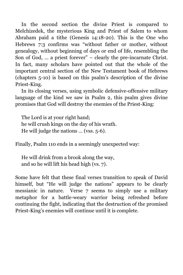In the second section the divine Priest is compared to Melchizedek, the mysterious King and Priest of Salem to whom Abraham paid a tithe (Genesis 14:18-20). This is the One who Hebrews 7:3 confirms was "without father or mother, without genealogy, without beginning of days or end of life, resembling the Son of God, … a priest forever" – clearly the pre-incarnate Christ. In fact, many scholars have pointed out that the whole of the important central section of the New Testament book of Hebrews (chapters 5-10) is based on this psalm's description of the divine Priest-King.

In its closing verses, using symbolic defensive-offensive military language of the kind we saw in Psalm 2, this psalm gives divine promises that God will destroy the enemies of the Priest-King:

The Lord is at your right hand; he will crush kings on the day of his wrath. He will judge the nations … (vss. 5-6).

Finally, Psalm 110 ends in a seemingly unexpected way:

He will drink from a brook along the way, and so he will lift his head high (vs. 7).

Some have felt that these final verses transition to speak of David himself, but "He will judge the nations" appears to be clearly messianic in nature. Verse 7 seems to simply use a military metaphor for a battle-weary warrior being refreshed before continuing the fight, indicating that the destruction of the promised Priest-King's enemies will continue until it is complete.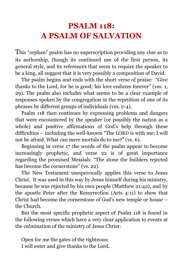## <span id="page-84-0"></span>**PSALM 118: A PSALM OF SALVATION**

This "orphan" psalm has no superscription providing any clue as to its authorship, though its continued use of the first person, its general style, and its references that seem to require the speaker to be a king, all suggest that it is very possibly a composition of David.

The psalm begins and ends with the short verse of praise: "Give thanks to the Lord, for he is good; his love endures forever" (vss. 1, 29). The psalm also includes what seems to be a clear example of responses spoken by the congregation in the repetition of one of its phrases by different groups of individuals (vss. 2-4).

Psalm 118 then continues by expressing problems and dangers that were encountered by the speaker (or possibly the nation as a whole) and positive affirmations of God's help through these difficulties – including the well-known "The LORD is with me; I will not be afraid. What can mere mortals do to me?" (vs. 6).

Beginning in verse 17 the words of the psalm appear to become increasingly prophetic, and verse 22 is of great importance regarding the promised Messiah: "The stone the builders rejected has become the cornerstone" (vs. 22).

The New Testament unequivocally applies this verse to Jesus Christ. It was used in this way by Jesus himself during his ministry, because he was rejected by his own people (Matthew 21:42), and by the apostle Peter after the Resurrection (Acts 4:11) to show that Christ had become the cornerstone of God's new temple or house – the Church.

But the most specific prophetic aspect of Psalm 118 is found in the following verses which have a very clear application to events at the culmination of the ministry of Jesus Christ:

Open for me the gates of the righteous; I will enter and give thanks to the Lord.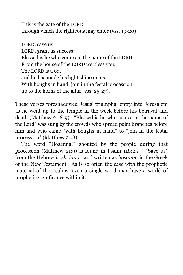This is the gate of the LORD through which the righteous may enter (vss. 19-20).

LORD, save us! LORD, grant us success! Blessed is he who comes in the name of the LORD. From the house of the LORD we bless you. The LORD is God, and he has made his light shine on us. With boughs in hand, join in the festal procession up to the horns of the altar (vss. 25-27).

These verses foreshadowed Jesus' triumphal entry into Jerusalem as he went up to the temple in the week before his betrayal and death (Matthew 21:8-9). "Blessed is he who comes in the name of the Lord" was sung by the crowds who spread palm branches before him and who came "with boughs in hand" to "join in the festal procession" (Matthew 21:8).

The word "Hosanna!" shouted by the people during that procession (Matthew 21:9) is found in Psalm  $118:25$  – "Save us" from the Hebrew *hosh`iana*, and written as *hosanna* in the Greek of the New Testament. As is so often the case with the prophetic material of the psalms, even a single word may have a world of prophetic significance within it.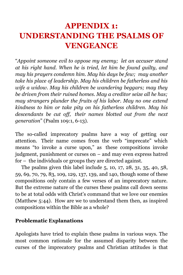# **APPENDIX 1: UNDERSTANDING THE PSALMS OF VENGEANCE**

"*Appoint someone evil to oppose my enemy; let an accuser stand at his right hand. When he is tried, let him be found guilty, and may his prayers condemn him. May his days be few; may another take his place of leadership. May his children be fatherless and his wife a widow. May his children be wandering beggars; may they be driven from their ruined homes. May a creditor seize all he has; may strangers plunder the fruits of his labor. May no one extend kindness to him or take pity on his fatherless children. May his descendants be cut off, their names blotted out from the next generation*" (Psalm 109:1, 6-13).

The so-called imprecatory psalms have a way of getting our attention. Their name comes from the verb "imprecate" which means "to invoke a curse upon," as these compositions invoke judgment, punishment or curses on – and may even express hatred for – the individuals or groups they are directed against.

The psalms given this label include 5, 10, 17, 28, 31, 35, 40, 58, 59, 69, 70, 79, 83, 109, 129, 137, 139, and 140, though some of these compositions only contain a few verses of an imprecatory nature. But the extreme nature of the curses these psalms call down seems to be at total odds with Christ's command that we love our enemies (Matthew 5:44). How are we to understand them then, as inspired compositions within the Bible as a whole?

#### **Problematic Explanations**

Apologists have tried to explain these psalms in various ways. The most common rationale for the assumed disparity between the curses of the imprecatory psalms and Christian attitudes is that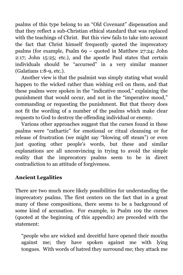psalms of this type belong to an "Old Covenant" dispensation and that they reflect a sub-Christian ethical standard that was replaced with the teachings of Christ. But this view fails to take into account the fact that Christ himself frequently quoted the imprecatory psalms (for example, Psalm 69 – quoted in Matthew 27:24; John 2:17; John 15:25; etc.), and the apostle Paul states that certain individuals should be "accursed" in a very similar manner (Galatians 1:8-9, etc.).

Another view is that the psalmist was simply stating what would happen to the wicked rather than wishing evil on them, and that these psalms were spoken in the "indicative mood," explaining the punishment that would occur, and not in the "imperative mood," commanding or requesting the punishment. But that theory does not fit the wording of a number of the psalms which make clear requests to God to destroy the offending individual or enemy.

Various other approaches suggest that the curses found in these psalms were "cathartic" for emotional or ritual cleansing or for release of frustration (we might say "blowing off steam") or even just quoting other people's words, but these and similar explanations are all unconvincing in trying to avoid the simple reality that the imprecatory psalms seem to be in direct contradiction to an attitude of forgiveness.

### **Ancient Legalities**

There are two much more likely possibilities for understanding the imprecatory psalms. The first centers on the fact that in a great many of these compositions, there seems to be a background of some kind of accusation. For example, in Psalm 109 the curses (quoted at the beginning of this appendix) are preceded with the statement:

"people who are wicked and deceitful have opened their mouths against me; they have spoken against me with lying tongues. With words of hatred they surround me; they attack me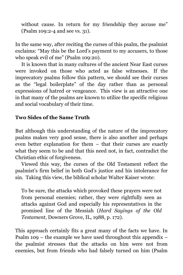without cause. In return for my friendship they accuse me" (Psalm 109:2-4 and see vs. 31).

In the same way, after reciting the curses of this psalm, the psalmist exclaims: "May this be the Lord's payment to my accusers, to those who speak evil of me" (Psalm 109:20).

It is known that in many cultures of the ancient Near East curses were invoked on those who acted as false witnesses. If the imprecatory psalms follow this pattern, we should see their curses as the "legal boilerplate" of the day rather than as personal expressions of hatred or vengeance. This view is an attractive one in that many of the psalms are known to utilize the specific religious and social vocabulary of their time.

### **Two Sides of the Same Truth**

But although this understanding of the nature of the imprecatory psalms makes very good sense, there is also another and perhaps even better explanation for them – that their curses are exactly what they seem to be and that this need not, in fact, contradict the Christian ethic of forgiveness.

Viewed this way, the curses of the Old Testament reflect the psalmist's firm belief in both God's justice and his intolerance for sin. Taking this view, the biblical scholar Walter Kaiser wrote:

To be sure, the attacks which provoked these prayers were not from personal enemies; rather, they were rightfully seen as attacks against God and especially his representatives in the promised line of the Messiah (*Hard Sayings of the Old Testament*, Downers Grove, IL, 1988, p. 172).

This approach certainly fits a great many of the facts we have. In Psalm 109 – the example we have used throughout this appendix  $$ the psalmist stresses that the attacks on him were not from enemies, but from friends who had falsely turned on him (Psalm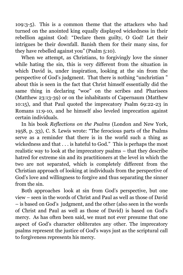109:3-5). This is a common theme that the attackers who had turned on the anointed king equally displayed wickedness in their rebellion against God: "Declare them guilty, O God! Let their intrigues be their downfall. Banish them for their many sins, for they have rebelled against you" (Psalm 5:10).

When we attempt, as Christians, to forgivingly love the sinner while hating the sin, this is very different from the situation in which David is, under inspiration, looking at the sin from the perspective of God's judgment. That there is nothing "unchristian " about this is seen in the fact that Christ himself essentially did the same thing in declaring "woe" on the scribes and Pharisees (Matthew 23:13-39) or on the inhabitants of Capernaum (Matthew 10:15), and that Paul quoted the imprecatory Psalm 69:22-23 in Romans 11:9-10, and he himself also leveled imprecation against certain individuals.

In his book *Reflections on the Psalms* (London and New York, 1958, p. 33), C. S. Lewis wrote: "The ferocious parts of the Psalms serve as a reminder that there is in the world such a thing as wickedness and that . . . is hateful to God." This is perhaps the most realistic way to look at the imprecatory psalms – that they describe hatred for extreme sin and its practitioners at the level in which the two are not separated, which is completely different from the Christian approach of looking at individuals from the perspective of God's love and willingness to forgive and thus separating the sinner from the sin.

Both approaches look at sin from God's perspective, but one view – seen in the words of Christ and Paul as well as those of David – is based on God's judgment, and the other (also seen in the words of Christ and Paul as well as those of David) is based on God's mercy. As has often been said, we must not ever presume that one aspect of God's character obliterates any other. The imprecatory psalms represent the justice of God's ways just as the scriptural call to forgiveness represents his mercy.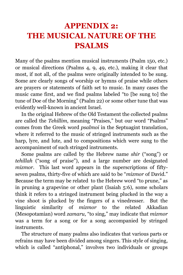# **APPENDIX 2: THE MUSICAL NATURE OF THE PSALMS**

Many of the psalms mention musical instruments (Psalm 150, etc.) or musical directions (Psalms 4, 9, 49, etc.), making it clear that most, if not all, of the psalms were originally intended to be sung. Some are clearly songs of worship or hymns of praise while others are prayers or statements of faith set to music. In many cases the music came first, and we find psalms labeled "to [be sung to] the tune of Doe of the Morning" (Psalm 22) or some other tune that was evidently well-known in ancient Israel.

In the original Hebrew of the Old Testament the collected psalms are called the *Tehillim*, meaning "Praises," but our word "Psalms" comes from the Greek word *psalmoi* in the Septuagint translation, where it referred to the music of stringed instruments such as the harp, lyre, and lute, and to compositions which were sung to the accompaniment of such stringed instruments.

Some psalms are called by the Hebrew name *shir* ("song") or *tehillah* ("song of praise"), and a large number are designated *mizmor*. This last word appears in the superscriptions of fiftyseven psalms, thirty-five of which are said to be "*mizmor* of David." Because the term may be related to the Hebrew word "to prune," as in pruning a grapevine or other plant (Isaiah 5:6), some scholars think it refers to a stringed instrument being plucked in the way a vine shoot is plucked by the fingers of a vinedresser. But the linguistic similarity of *mizmor* to the related Akkadian (Mesopotamian) word *zamaru*, "to sing," may indicate that *mizmor* was a term for a song or for a song accompanied by stringed instruments.

The structure of many psalms also indicates that various parts or refrains may have been divided among singers. This style of singing, which is called "antiphonal," involves two individuals or groups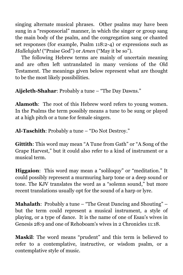singing alternate musical phrases. Other psalms may have been sung in a "responsorial" manner, in which the singer or group sang the main body of the psalm, and the congregation sang or chanted set responses (for example, Psalm 118:2-4) or expressions such as *Hallelujah!* ("Praise God") or *Amen* ("May it be so").

The following Hebrew terms are mainly of uncertain meaning and are often left untranslated in many versions of the Old Testament. The meanings given below represent what are thought to be the most likely possibilities.

**Aijeleth-Shahar**: Probably a tune – "The Day Dawns."

**Alamoth**: The root of this Hebrew word refers to young women. In the Psalms the term possibly means a tune to be sung or played at a high pitch or a tune for female singers.

**Al-Taschith**: Probably a tune – "Do Not Destroy."

**Gittith**: This word may mean "A Tune from Gath" or "A Song of the Grape Harvest," but it could also refer to a kind of instrument or a musical term.

**Higgaion**: This word may mean a "soliloquy" or "meditation." It could possibly represent a murmuring harp tone or a deep sound or tone. The KJV translates the word as a "solemn sound," but more recent translations usually opt for the sound of a harp or lyre.

**Mahalath**: Probably a tune – "The Great Dancing and Shouting" – but the term could represent a musical instrument, a style of playing, or a type of dance. It is the name of one of Esau's wives in Genesis 28:9 and one of Rehoboam's wives in 2 Chronicles 11:18.

**Maskil**: The word means "prudent" and this term is believed to refer to a contemplative, instructive, or wisdom psalm, or a contemplative style of music.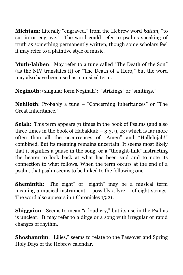**Michtam**: Literally "engraved," from the Hebrew word *katam*, "to cut in or engrave." The word could refer to psalms speaking of truth as something permanently written, though some scholars feel it may refer to a plaintive style of music.

**Muth-labben**: May refer to a tune called "The Death of the Son" (as the NIV translates it) or "The Death of a Hero," but the word may also have been used as a musical term.

**Neginoth**: (singular form Neginah): "strikings" or "smitings."

**Nehiloth**: Probably a tune – "Concerning Inheritances" or "The Great Inheritance."

**Selah**: This term appears 71 times in the book of Psalms (and also three times in the book of Habakkuk –  $3:3, 9, 13$ ) which is far more often than all the occurrences of "Amen" and "Hallelujah!" combined. But its meaning remains uncertain. It seems most likely that it signifies a pause in the song, or a "thought-link" instructing the hearer to look back at what has been said and to note its connection to what follows. When the term occurs at the end of a psalm, that psalm seems to be linked to the following one.

**Sheminith**: "The eight" or "eighth" may be a musical term meaning a musical instrument – possibly a lyre – of eight strings. The word also appears in 1 Chronicles 15:21.

**Shiggaion:** Seems to mean "a loud cry," but its use in the Psalms is unclear. It may refer to a dirge or a song with irregular or rapid changes of rhythm.

**Shoshannim:** "Lilies," seems to relate to the Passover and Spring Holy Days of the Hebrew calendar.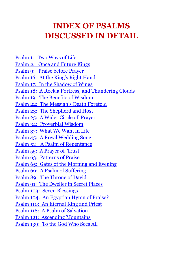### **INDEX OF PSALMS DISCUSSED IN DETAIL**

[Psalm 1: Two Ways](#page-14-0) of Life [Psalm 2: Once and Future Kings](#page-69-0) [Psalm 9: Praise before Prayer](#page-50-0) [Psalm 16: At the King's Right Hand](#page-67-0) [Psalm 17: In the Shadow of Wings](#page-27-0) Psalm 18: A Rock,a [Fortress, and Thundering Clouds](#page-38-0) [Psalm 19: The Benefits of Wisdom](#page-17-0) [Psalm 22: The Messiah's Death Foretold](#page-76-0) [Psalm 23: The Shepherd and Host](#page-29-0) [Psalm 25: A Wider Circle of Prayer](#page-52-0) [Psalm 34: Proverbial Wisdom](#page-20-0) [Psalm 37: What We Want in Life](#page-23-0) [Psalm 45: A Royal Wedding Song](#page-65-0) [Psalm 51: A Psalm of Repentance](#page-54-0) [Psalm 55: A Prayer of Trust](#page-57-0) [Psalm 63: Patterns of Praise](#page-46-0) [Psalm 65: Gates of the Morning and Evening](#page-40-0) [Psalm 69: A Psalm of Suffering](#page-79-0) [Psalm 89: The Throne of David](#page-71-0) [Psalm 91: The Dweller in Secret Places](#page-31-0) [Psalm 103: Seven Blessings](#page-44-0) [Psalm 104: An Egyptian Hymn of Praise?](#page-42-0) [Psalm 110: An Eternal King and Priest](#page-82-0) [Psalm 118: A Psalm of Salvation](#page-84-0) [Psalm 121: Ascending Mountains](#page-34-0) [Psalm 139: To the God Who Sees All](#page-60-0)